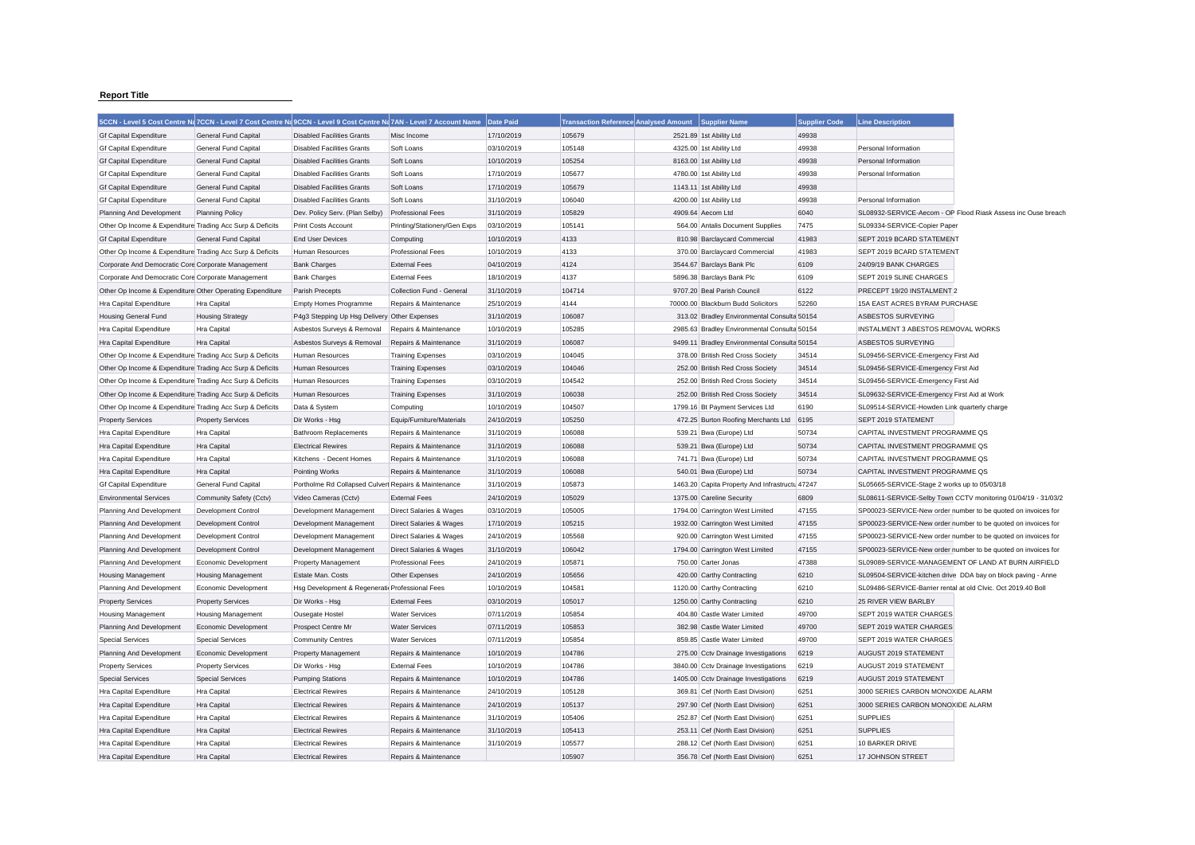## **Report Title**

|                                                           |                             | 5CCN - Level 5 Cost Centre Na 7CCN - Level 7 Cost Centre Na 9CCN - Level 9 Cost Centre Na 7AN - Level 7 Account Name |                              | Date Paid  | Transaction Reference Analysed Amount Supplier Name |                                                | <b>Supplier Code</b> | <b>Line Description</b>                                       |                                                               |
|-----------------------------------------------------------|-----------------------------|----------------------------------------------------------------------------------------------------------------------|------------------------------|------------|-----------------------------------------------------|------------------------------------------------|----------------------|---------------------------------------------------------------|---------------------------------------------------------------|
| <b>Gf Capital Expenditure</b>                             | General Fund Capital        | <b>Disabled Facilities Grants</b>                                                                                    | Misc Income                  | 17/10/2019 | 105679                                              | 2521.89 1st Ability Ltd                        | 49938                |                                                               |                                                               |
| <b>Gf Capital Expenditure</b>                             | General Fund Capital        | <b>Disabled Facilities Grants</b>                                                                                    | Soft Loans                   | 03/10/2019 | 105148                                              | 4325.00 1st Ability Ltd                        | 49938                | Personal Information                                          |                                                               |
| <b>Gf Capital Expenditure</b>                             | <b>General Fund Capital</b> | <b>Disabled Facilities Grants</b>                                                                                    | Soft Loans                   | 10/10/2019 | 105254                                              | 8163.00 1st Ability Ltd                        | 49938                | Personal Information                                          |                                                               |
| <b>Gf Capital Expenditure</b>                             | General Fund Capital        | <b>Disabled Facilities Grants</b>                                                                                    | Soft Loans                   | 17/10/2019 | 105677                                              | 4780.00 1st Ability Ltd                        | 49938                | Personal Information                                          |                                                               |
| <b>Gf Capital Expenditure</b>                             | General Fund Capital        | <b>Disabled Facilities Grants</b>                                                                                    | Soft Loans                   | 17/10/2019 | 105679                                              | 1143.11 1st Ability Ltd                        | 49938                |                                                               |                                                               |
| <b>Gf Capital Expenditure</b>                             | General Fund Capital        | <b>Disabled Facilities Grants</b>                                                                                    | Soft Loans                   | 31/10/2019 | 106040                                              | 4200.00 1st Ability Ltd                        | 49938                | Personal Information                                          |                                                               |
| Planning And Development                                  | <b>Planning Policy</b>      | Dev. Policy Serv. (Plan Selby)                                                                                       | <b>Professional Fees</b>     | 31/10/2019 | 105829                                              | 4909.64 Aecom Ltd                              | 6040                 |                                                               | SL08932-SERVICE-Aecom - OP Flood Riask Assess inc Ouse breach |
| Other Op Income & Expenditure Trading Acc Surp & Deficits |                             | Print Costs Account                                                                                                  | Printing/Stationery/Gen Exps | 03/10/2019 | 105141                                              | 564.00 Antalis Document Supplies               | 7475                 | SL09334-SERVICE-Copier Paper                                  |                                                               |
| <b>Gf Capital Expenditure</b>                             | General Fund Capital        | <b>End User Devices</b>                                                                                              | Computing                    | 10/10/2019 | 4133                                                | 810.98 Barclaycard Commercial                  | 41983                | SEPT 2019 BCARD STATEMENT                                     |                                                               |
| Other Op Income & Expenditure Trading Acc Surp & Deficits |                             | Human Resources                                                                                                      | <b>Professional Fees</b>     | 10/10/2019 | 4133                                                | 370.00 Barclaycard Commercial                  | 41983                | SEPT 2019 BCARD STATEMENT                                     |                                                               |
| Corporate And Democratic Core Corporate Management        |                             | <b>Bank Charges</b>                                                                                                  | <b>External Fees</b>         | 04/10/2019 | 4124                                                | 3544.67 Barclays Bank Plc                      | 6109                 | 24/09/19 BANK CHARGES                                         |                                                               |
| Corporate And Democratic Core Corporate Management        |                             | <b>Bank Charges</b>                                                                                                  | <b>External Fees</b>         | 18/10/2019 | 4137                                                | 5896.38 Barclays Bank Plc                      | 6109                 | SEPT 2019 SLINE CHARGES                                       |                                                               |
| Other Op Income & Expenditure Other Operating Expenditure |                             | Parish Precepts                                                                                                      | Collection Fund - General    | 31/10/2019 | 104714                                              | 9707.20 Beal Parish Council                    | 6122                 | PRECEPT 19/20 INSTALMENT 2                                    |                                                               |
| Hra Capital Expenditure                                   | Hra Capital                 | Empty Homes Programme                                                                                                | Repairs & Maintenance        | 25/10/2019 | 4144                                                | 70000.00 Blackburn Budd Solicitors             | 52260                | 15A EAST ACRES BYRAM PURCHASE                                 |                                                               |
| <b>Housing General Fund</b>                               | <b>Housing Strategy</b>     | P4g3 Stepping Up Hsg Delivery                                                                                        | Other Expenses               | 31/10/2019 | 106087                                              | 313.02 Bradley Environmental Consulta 50154    |                      | ASBESTOS SURVEYING                                            |                                                               |
| Hra Capital Expenditure                                   | Hra Capital                 | Asbestos Surveys & Removal                                                                                           | Repairs & Maintenance        | 10/10/2019 | 105285                                              | 2985.63 Bradley Environmental Consulta 50154   |                      | INSTALMENT 3 ABESTOS REMOVAL WORKS                            |                                                               |
| Hra Capital Expenditure                                   | Hra Capital                 | Asbestos Surveys & Removal                                                                                           | Repairs & Maintenance        | 31/10/2019 | 106087                                              | 9499.11 Bradley Environmental Consulta 50154   |                      | ASBESTOS SURVEYING                                            |                                                               |
| Other Op Income & Expenditure Trading Acc Surp & Deficits |                             |                                                                                                                      |                              | 03/10/2019 | 104045                                              | 378.00 British Red Cross Society               | 34514                |                                                               |                                                               |
|                                                           |                             | Human Resources                                                                                                      | <b>Training Expenses</b>     |            | 104046                                              |                                                |                      | SL09456-SERVICE-Emergency First Aid                           |                                                               |
| Other Op Income & Expenditure Trading Acc Surp & Deficits |                             | Human Resources                                                                                                      | <b>Training Expenses</b>     | 03/10/2019 |                                                     | 252.00 British Red Cross Society               | 34514                | SL09456-SERVICE-Emergency First Aid                           |                                                               |
| Other Op Income & Expenditure Trading Acc Surp & Deficits |                             | Human Resources                                                                                                      | <b>Training Expenses</b>     | 03/10/2019 | 104542                                              | 252.00 British Red Cross Society               | 34514                | SL09456-SERVICE-Emergency First Aid                           |                                                               |
| Other Op Income & Expenditure Trading Acc Surp & Deficits |                             | Human Resources                                                                                                      | <b>Training Expenses</b>     | 31/10/2019 | 106038                                              | 252.00 British Red Cross Society               | 34514                | SL09632-SERVICE-Emergency First Aid at Work                   |                                                               |
| Other Op Income & Expenditure Trading Acc Surp & Deficits |                             | Data & System                                                                                                        | Computing                    | 10/10/2019 | 104507                                              | 1799.16 Bt Payment Services Ltd                | 6190                 | SL09514-SERVICE-Howden Link quarterly charge                  |                                                               |
| <b>Property Services</b>                                  | <b>Property Services</b>    | Dir Works - Hsg                                                                                                      | Equip/Furniture/Materials    | 24/10/2019 | 105250                                              | 472.25 Burton Roofing Merchants Ltd            | 6195                 | SEPT 2019 STATEMENT                                           |                                                               |
| Hra Capital Expenditure                                   | Hra Capital                 | <b>Bathroom Replacements</b>                                                                                         | Repairs & Maintenance        | 31/10/2019 | 106088                                              | 539.21 Bwa (Europe) Ltd                        | 50734                | CAPITAL INVESTMENT PROGRAMME QS                               |                                                               |
| Hra Capital Expenditure                                   | Hra Capital                 | <b>Electrical Rewires</b>                                                                                            | Repairs & Maintenance        | 31/10/2019 | 106088                                              | 539.21 Bwa (Europe) Ltd                        | 50734                | CAPITAL INVESTMENT PROGRAMME QS                               |                                                               |
| Hra Capital Expenditure                                   | Hra Capital                 | Kitchens - Decent Homes                                                                                              | Repairs & Maintenance        | 31/10/2019 | 106088                                              | 741.71 Bwa (Europe) Ltd                        | 50734                | CAPITAL INVESTMENT PROGRAMME QS                               |                                                               |
| Hra Capital Expenditure                                   | Hra Capital                 | Pointing Works                                                                                                       | Repairs & Maintenance        | 31/10/2019 | 106088                                              | 540.01 Bwa (Europe) Ltd                        | 50734                | CAPITAL INVESTMENT PROGRAMME QS                               |                                                               |
| <b>Gf Capital Expenditure</b>                             | General Fund Capital        | Portholme Rd Collapsed Culverl Repairs & Maintenance                                                                 |                              | 31/10/2019 | 105873                                              | 1463.20 Capita Property And Infrastructu 47247 |                      | SL05665-SERVICE-Stage 2 works up to 05/03/18                  |                                                               |
| <b>Environmental Services</b>                             | Community Safety (Cctv)     | Video Cameras (Cctv)                                                                                                 | <b>External Fees</b>         | 24/10/2019 | 105029                                              | 1375.00 Careline Security                      | 6809                 |                                                               | SL08611-SERVICE-Selby Town CCTV monitoring 01/04/19 - 31/03/2 |
| Planning And Development                                  | Development Control         | Development Management                                                                                               | Direct Salaries & Wages      | 03/10/2019 | 105005                                              | 1794.00 Carrington West Limited                | 47155                |                                                               | SP00023-SERVICE-New order number to be quoted on invoices for |
| Planning And Development                                  | Development Control         | Development Management                                                                                               | Direct Salaries & Wages      | 17/10/2019 | 105215                                              | 1932.00 Carrington West Limited                | 47155                |                                                               | SP00023-SERVICE-New order number to be quoted on invoices for |
| Planning And Development                                  | Development Control         | Development Management                                                                                               | Direct Salaries & Wages      | 24/10/2019 | 105568                                              | 920.00 Carrington West Limited                 | 47155                |                                                               | SP00023-SERVICE-New order number to be quoted on invoices for |
| Planning And Development                                  | Development Control         | Development Management                                                                                               | Direct Salaries & Wages      | 31/10/2019 | 106042                                              | 1794.00 Carrington West Limited                | 47155                |                                                               | SP00023-SERVICE-New order number to be quoted on invoices for |
| Planning And Development                                  | Economic Development        | Property Management                                                                                                  | <b>Professional Fees</b>     | 24/10/2019 | 105871                                              | 750.00 Carter Jonas                            | 47388                |                                                               | SL09089-SERVICE-MANAGEMENT OF LAND AT BURN AIRFIELD           |
| <b>Housing Management</b>                                 | <b>Housing Management</b>   | Estate Man. Costs                                                                                                    | Other Expenses               | 24/10/2019 | 105656                                              | 420.00 Carthy Contracting                      | 6210                 |                                                               | SL09504-SERVICE-kitchen drive DDA bay on block paving - Anne  |
| Planning And Development                                  | Economic Development        | Hsg Development & Regenerati Professional Fees                                                                       |                              | 10/10/2019 | 104581                                              | 1120.00 Carthy Contracting                     | 6210                 | SL09486-SERVICE-Barrier rental at old Clvic. Oct 2019.40 Boll |                                                               |
| <b>Property Services</b>                                  | <b>Property Services</b>    | Dir Works - Hsg                                                                                                      | <b>External Fees</b>         | 03/10/2019 | 105017                                              | 1250.00 Carthy Contracting                     | 6210                 | 25 RIVER VIEW BARLBY                                          |                                                               |
| <b>Housing Management</b>                                 | <b>Housing Management</b>   | Ousegate Hostel                                                                                                      | <b>Water Services</b>        | 07/11/2019 | 105854                                              | 404.80 Castle Water Limited                    | 49700                | SEPT 2019 WATER CHARGES                                       |                                                               |
| Planning And Development                                  | Economic Development        | Prospect Centre Mr                                                                                                   | <b>Water Services</b>        | 07/11/2019 | 105853                                              | 382.98 Castle Water Limited                    | 49700                | SEPT 2019 WATER CHARGES                                       |                                                               |
| <b>Special Services</b>                                   | <b>Special Services</b>     | <b>Community Centres</b>                                                                                             | <b>Water Services</b>        | 07/11/2019 | 105854                                              | 859.85 Castle Water Limited                    | 49700                | SEPT 2019 WATER CHARGES                                       |                                                               |
| Planning And Development                                  | Economic Development        | <b>Property Management</b>                                                                                           | Repairs & Maintenance        | 10/10/2019 | 104786                                              | 275.00 Cctv Drainage Investigations            | 6219                 | AUGUST 2019 STATEMENT                                         |                                                               |
| <b>Property Services</b>                                  | <b>Property Services</b>    | Dir Works - Hsg                                                                                                      | <b>External Fees</b>         | 10/10/2019 | 104786                                              | 3840.00 Cctv Drainage Investigations           | 6219                 | AUGUST 2019 STATEMENT                                         |                                                               |
| <b>Special Services</b>                                   | <b>Special Services</b>     | <b>Pumping Stations</b>                                                                                              | Repairs & Maintenance        | 10/10/2019 | 104786                                              | 1405.00 Cctv Drainage Investigations           | 6219                 | AUGUST 2019 STATEMENT                                         |                                                               |
| Hra Capital Expenditure                                   | Hra Capital                 | <b>Electrical Rewires</b>                                                                                            | Repairs & Maintenance        | 24/10/2019 | 105128                                              | 369.81 Cef (North East Division)               | 6251                 | 3000 SERIES CARBON MONOXIDE ALARM                             |                                                               |
| Hra Capital Expenditure                                   | Hra Capital                 | <b>Electrical Rewires</b>                                                                                            | Repairs & Maintenance        | 24/10/2019 | 105137                                              | 297.90 Cef (North East Division)               | 6251                 | 3000 SERIES CARBON MONOXIDE ALARM                             |                                                               |
| Hra Capital Expenditure                                   | Hra Capital                 | <b>Electrical Rewires</b>                                                                                            | Repairs & Maintenance        | 31/10/2019 | 105406                                              | 252.87 Cef (North East Division)               | 6251                 | <b>SUPPLIES</b>                                               |                                                               |
| Hra Capital Expenditure                                   | Hra Capital                 | <b>Electrical Rewires</b>                                                                                            | Repairs & Maintenance        | 31/10/2019 | 105413                                              | 253.11 Cef (North East Division)               | 6251                 | <b>SUPPLIES</b>                                               |                                                               |
| Hra Capital Expenditure                                   | Hra Capital                 | <b>Electrical Rewires</b>                                                                                            | Repairs & Maintenance        | 31/10/2019 | 105577                                              | 288.12 Cef (North East Division)               | 6251                 | 10 BARKER DRIVE                                               |                                                               |
| Hra Capital Expenditure                                   | Hra Capital                 | <b>Electrical Rewires</b>                                                                                            | Repairs & Maintenance        |            | 105907                                              | 356.78 Cef (North East Division)               | 6251                 | 17 JOHNSON STREET                                             |                                                               |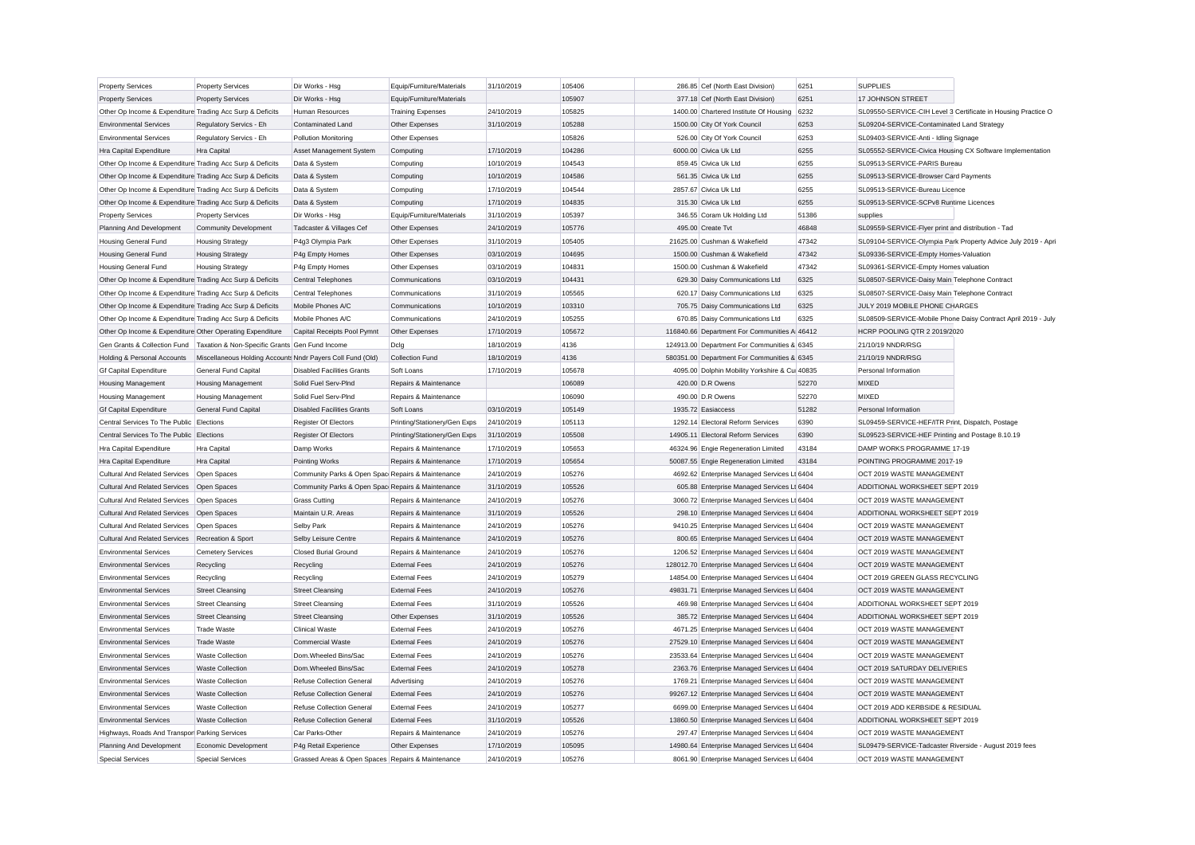| <b>Property Services</b>                                  | <b>Property Services</b>                                   | Dir Works - Hsg                                   | Equip/Furniture/Materials    | 31/10/2019 | 105406 | 286.85 Cef (North East Division)              | 6251  | <b>SUPPLIES</b>                                               |                                                               |
|-----------------------------------------------------------|------------------------------------------------------------|---------------------------------------------------|------------------------------|------------|--------|-----------------------------------------------|-------|---------------------------------------------------------------|---------------------------------------------------------------|
| <b>Property Services</b>                                  | <b>Property Services</b>                                   | Dir Works - Hsg                                   | Equip/Furniture/Materials    |            | 105907 | 377.18 Cef (North East Division)              | 6251  | 17 JOHNSON STREET                                             |                                                               |
| Other Op Income & Expenditure Trading Acc Surp & Deficits |                                                            | Human Resources                                   | <b>Training Expenses</b>     | 24/10/2019 | 105825 | 1400.00 Chartered Institute Of Housing        | 6232  | SL09550-SERVICE-CIH Level 3 Certificate in Housing Practice O |                                                               |
| <b>Environmental Services</b>                             | Regulatory Servics - Eh                                    | Contaminated Land                                 | Other Expenses               | 31/10/2019 | 105288 | 1500.00 City Of York Council                  | 6253  | SL09204-SERVICE-Contaminated Land Strategy                    |                                                               |
| <b>Environmental Services</b>                             | Regulatory Servics - Eh                                    | Pollution Monitoring                              | Other Expenses               |            | 105826 | 526.00 City Of York Council                   | 6253  | SL09403-SERVICE-Anti - Idling Signage                         |                                                               |
| Hra Capital Expenditure                                   | Hra Capital                                                | Asset Management System                           | Computing                    | 17/10/2019 | 104286 | 6000.00 Civica Uk Ltd                         | 6255  | SL05552-SERVICE-Civica Housing CX Software Implementation     |                                                               |
| Other Op Income & Expenditure Trading Acc Surp & Deficits |                                                            | Data & System                                     | Computing                    | 10/10/2019 | 104543 | 859.45 Civica Uk Ltd                          | 6255  | SL09513-SERVICE-PARIS Bureau                                  |                                                               |
| Other Op Income & Expenditure Trading Acc Surp & Deficits |                                                            | Data & System                                     | Computing                    | 10/10/2019 | 104586 | 561.35 Civica Uk Ltd                          | 6255  | SL09513-SERVICE-Browser Card Payments                         |                                                               |
| Other Op Income & Expenditure Trading Acc Surp & Deficits |                                                            | Data & System                                     | Computing                    | 17/10/2019 | 104544 | 2857.67 Civica Uk Ltd                         | 6255  | SL09513-SERVICE-Bureau Licence                                |                                                               |
| Other Op Income & Expenditure Trading Acc Surp & Deficits |                                                            | Data & System                                     | Computing                    | 17/10/2019 | 104835 | 315.30 Civica Uk Ltd                          | 6255  | SL09513-SERVICE-SCPv8 Runtime Licences                        |                                                               |
| <b>Property Services</b>                                  | <b>Property Services</b>                                   | Dir Works - Hsg                                   | Equip/Furniture/Materials    | 31/10/2019 | 105397 | 346.55 Coram Uk Holding Ltd                   | 51386 | supplies                                                      |                                                               |
| Planning And Development                                  | <b>Community Development</b>                               | Tadcaster & Villages Cef                          | Other Expenses               | 24/10/2019 | 105776 | 495.00 Create Tvt                             | 46848 | SL09559-SERVICE-Flyer print and distribution - Tad            |                                                               |
| <b>Housing General Fund</b>                               | <b>Housing Strategy</b>                                    | P4g3 Olympia Park                                 | Other Expenses               | 31/10/2019 | 105405 | 21625.00 Cushman & Wakefield                  | 47342 |                                                               | SL09104-SERVICE-Olympia Park Property Advice July 2019 - Apri |
| <b>Housing General Fund</b>                               | <b>Housing Strategy</b>                                    | P4g Empty Homes                                   | Other Expenses               | 03/10/2019 | 104695 | 1500.00 Cushman & Wakefield                   | 47342 | SL09336-SERVICE-Empty Homes-Valuation                         |                                                               |
| <b>Housing General Fund</b>                               | <b>Housing Strategy</b>                                    | P4g Empty Homes                                   | Other Expenses               | 03/10/2019 | 104831 | 1500.00 Cushman & Wakefield                   | 47342 | SL09361-SERVICE-Empty Homes valuation                         |                                                               |
| Other Op Income & Expenditure Trading Acc Surp & Deficits |                                                            | Central Telephones                                | Communications               | 03/10/2019 | 104431 | 629.30 Daisy Communications Ltd               | 6325  | SL08507-SERVICE-Daisy Main Telephone Contract                 |                                                               |
| Other Op Income & Expenditure Trading Acc Surp & Deficits |                                                            | <b>Central Telephones</b>                         | Communications               | 31/10/2019 | 105565 | 620.17 Daisy Communications Ltd               | 6325  | SL08507-SERVICE-Daisy Main Telephone Contract                 |                                                               |
| Other Op Income & Expenditure Trading Acc Surp & Deficits |                                                            | Mobile Phones A/C                                 | Communications               | 10/10/2019 | 103310 | 705.75 Daisy Communications Ltd               | 6325  | JULY 2019 MOBILE PHONE CHARGES                                |                                                               |
| Other Op Income & Expenditure Trading Acc Surp & Deficits |                                                            | Mobile Phones A/C                                 | Communications               | 24/10/2019 | 105255 | 670.85 Daisy Communications Ltd               | 6325  |                                                               | SL08509-SERVICE-Mobile Phone Daisy Contract April 2019 - July |
| Other Op Income & Expenditure Other Operating Expenditure |                                                            | Capital Receipts Pool Pymnt                       | Other Expenses               | 17/10/2019 | 105672 | 116840.66 Department For Communities A 46412  |       | <b>HCRP POOLING QTR 2 2019/2020</b>                           |                                                               |
| Gen Grants & Collection Fund                              | Taxation & Non-Specific Grants Gen Fund Income             |                                                   | Dclg                         | 18/10/2019 | 4136   | 124913.00 Department For Communities & 6345   |       | 21/10/19 NNDR/RSG                                             |                                                               |
| Holding & Personal Accounts                               | Miscellaneous Holding Accounts Nndr Payers Coll Fund (Old) |                                                   | <b>Collection Fund</b>       | 18/10/2019 | 4136   | 580351.00 Department For Communities & 6345   |       | 21/10/19 NNDR/RSG                                             |                                                               |
| <b>Gf Capital Expenditure</b>                             | <b>General Fund Capital</b>                                | <b>Disabled Facilities Grants</b>                 | Soft Loans                   | 17/10/2019 | 105678 | 4095.00 Dolphin Mobility Yorkshire & Cu 40835 |       | Personal Information                                          |                                                               |
| <b>Housing Management</b>                                 | <b>Housing Management</b>                                  | Solid Fuel Serv-Pind                              | Repairs & Maintenance        |            | 106089 | 420.00 D.R Owens                              | 52270 | <b>MIXED</b>                                                  |                                                               |
| <b>Housing Management</b>                                 | <b>Housing Management</b>                                  | Solid Fuel Serv-PInd                              | Repairs & Maintenance        |            | 106090 | 490.00 D.R Owens                              | 52270 | <b>MIXED</b>                                                  |                                                               |
| <b>Gf Capital Expenditure</b>                             | General Fund Capital                                       | <b>Disabled Facilities Grants</b>                 | Soft Loans                   | 03/10/2019 | 105149 | 1935.72 Easiaccess                            | 51282 | Personal Information                                          |                                                               |
| Central Services To The Public Elections                  |                                                            | Register Of Electors                              | Printing/Stationery/Gen Exps | 24/10/2019 | 105113 | 1292.14 Electoral Reform Services             | 6390  | SL09459-SERVICE-HEF/ITR Print, Dispatch, Postage              |                                                               |
| Central Services To The Public Elections                  |                                                            | Register Of Electors                              | Printing/Stationery/Gen Exps | 31/10/2019 | 105508 | 14905.11 Electoral Reform Services            | 6390  | SL09523-SERVICE-HEF Printing and Postage 8.10.19              |                                                               |
| Hra Capital Expenditure                                   | Hra Capital                                                | Damp Works                                        | Repairs & Maintenance        | 17/10/2019 | 105653 | 46324.96 Engie Regeneration Limited           | 43184 | DAMP WORKS PROGRAMME 17-19                                    |                                                               |
| Hra Capital Expenditure                                   | Hra Capital                                                | Pointing Works                                    | Repairs & Maintenance        | 17/10/2019 | 105654 | 50087.55 Engie Regeneration Limited           | 43184 | POINTING PROGRAMME 2017-19                                    |                                                               |
| <b>Cultural And Related Services</b>                      | Open Spaces                                                | Community Parks & Open Spac Repairs & Maintenance |                              | 24/10/2019 | 105276 | 4692.62 Enterprise Managed Services Lt 6404   |       | OCT 2019 WASTE MANAGEMENT                                     |                                                               |
| Cultural And Related Services                             | Open Spaces                                                | Community Parks & Open Spac Repairs & Maintenance |                              | 31/10/2019 | 105526 | 605.88 Enterprise Managed Services Lt 6404    |       | ADDITIONAL WORKSHEET SEPT 2019                                |                                                               |
| <b>Cultural And Related Services</b>                      | Open Spaces                                                | <b>Grass Cutting</b>                              | Repairs & Maintenance        | 24/10/2019 | 105276 | 3060.72 Enterprise Managed Services Lt 6404   |       | OCT 2019 WASTE MANAGEMENT                                     |                                                               |
| <b>Cultural And Related Services</b>                      | Open Spaces                                                | Maintain U.R. Areas                               | Repairs & Maintenance        | 31/10/2019 | 105526 | 298.10 Enterprise Managed Services Lt 6404    |       | ADDITIONAL WORKSHEET SEPT 2019                                |                                                               |
| <b>Cultural And Related Services</b>                      | Open Spaces                                                | Selby Park                                        | Repairs & Maintenance        | 24/10/2019 | 105276 | 9410.25 Enterprise Managed Services Lt 6404   |       | OCT 2019 WASTE MANAGEMENT                                     |                                                               |
| Cultural And Related Services                             | Recreation & Sport                                         | Selby Leisure Centre                              | Repairs & Maintenance        | 24/10/2019 | 105276 | 800.65 Enterprise Managed Services Lt 6404    |       | OCT 2019 WASTE MANAGEMENT                                     |                                                               |
| <b>Environmental Services</b>                             | <b>Cemetery Services</b>                                   | <b>Closed Burial Ground</b>                       | Repairs & Maintenance        | 24/10/2019 | 105276 | 1206.52 Enterprise Managed Services Lt 6404   |       | OCT 2019 WASTE MANAGEMENT                                     |                                                               |
| <b>Environmental Services</b>                             | Recycling                                                  | Recycling                                         | <b>External Fees</b>         | 24/10/2019 | 105276 | 128012.70 Enterprise Managed Services Lt 6404 |       | OCT 2019 WASTE MANAGEMENT                                     |                                                               |
| <b>Environmental Services</b>                             | Recycling                                                  | Recycling                                         | <b>External Fees</b>         | 24/10/2019 | 105279 | 14854.00 Enterprise Managed Services Lt 6404  |       | OCT 2019 GREEN GLASS RECYCLING                                |                                                               |
| <b>Environmental Services</b>                             | <b>Street Cleansing</b>                                    | <b>Street Cleansing</b>                           | <b>External Fees</b>         | 24/10/2019 | 105276 | 49831.71 Enterprise Managed Services Lt 6404  |       | OCT 2019 WASTE MANAGEMENT                                     |                                                               |
| <b>Environmental Services</b>                             | <b>Street Cleansing</b>                                    | <b>Street Cleansing</b>                           | <b>External Fees</b>         | 31/10/2019 | 105526 | 469.98 Enterprise Managed Services Lt 6404    |       | ADDITIONAL WORKSHEET SEPT 2019                                |                                                               |
| <b>Environmental Services</b>                             | <b>Street Cleansing</b>                                    | <b>Street Cleansing</b>                           | Other Expenses               | 31/10/2019 | 105526 | 385.72 Enterprise Managed Services Lt 6404    |       | ADDITIONAL WORKSHEET SEPT 2019                                |                                                               |
| <b>Environmental Services</b>                             | <b>Trade Waste</b>                                         | <b>Clinical Waste</b>                             | <b>External Fees</b>         | 24/10/2019 | 105276 | 4671.25 Enterprise Managed Services Lt 6404   |       | OCT 2019 WASTE MANAGEMENT                                     |                                                               |
| <b>Environmental Services</b>                             | <b>Trade Waste</b>                                         | <b>Commercial Waste</b>                           | <b>External Fees</b>         | 24/10/2019 | 105276 | 27529.10 Enterprise Managed Services Lt 6404  |       | OCT 2019 WASTE MANAGEMENT                                     |                                                               |
| <b>Environmental Services</b>                             | Waste Collection                                           | Dom.Wheeled Bins/Sac                              | <b>External Fees</b>         | 24/10/2019 | 105276 | 23533.64 Enterprise Managed Services Lt 6404  |       | OCT 2019 WASTE MANAGEMENT                                     |                                                               |
| <b>Environmental Services</b>                             | <b>Waste Collection</b>                                    | Dom.Wheeled Bins/Sac                              | <b>External Fees</b>         | 24/10/2019 | 105278 | 2363.76 Enterprise Managed Services Lt 6404   |       | OCT 2019 SATURDAY DELIVERIES                                  |                                                               |
| <b>Environmental Services</b>                             | <b>Waste Collection</b>                                    | <b>Refuse Collection General</b>                  | Advertising                  | 24/10/2019 | 105276 | 1769.21 Enterprise Managed Services Lt 6404   |       | OCT 2019 WASTE MANAGEMENT                                     |                                                               |
| <b>Environmental Services</b>                             | <b>Waste Collection</b>                                    | <b>Refuse Collection General</b>                  | <b>External Fees</b>         | 24/10/2019 | 105276 | 99267.12 Enterprise Managed Services Lt 6404  |       | OCT 2019 WASTE MANAGEMENT                                     |                                                               |
| <b>Environmental Services</b>                             | <b>Waste Collection</b>                                    | <b>Refuse Collection General</b>                  | <b>External Fees</b>         | 24/10/2019 | 105277 | 6699.00 Enterprise Managed Services Lt 6404   |       | OCT 2019 ADD KERBSIDE & RESIDUAL                              |                                                               |
| <b>Environmental Services</b>                             | <b>Waste Collection</b>                                    | <b>Refuse Collection General</b>                  | <b>External Fees</b>         | 31/10/2019 | 105526 | 13860.50 Enterprise Managed Services Lt 6404  |       | ADDITIONAL WORKSHEET SEPT 2019                                |                                                               |
| Highways, Roads And Transpor Parking Services             |                                                            | Car Parks-Other                                   | Repairs & Maintenance        | 24/10/2019 | 105276 | 297.47 Enterprise Managed Services Lt 6404    |       | OCT 2019 WASTE MANAGEMENT                                     |                                                               |
| Planning And Development                                  | Economic Development                                       | P4q Retail Experience                             | Other Expenses               | 17/10/2019 | 105095 | 14980.64 Enterprise Managed Services Lt 6404  |       | SL09479-SERVICE-Tadcaster Riverside - August 2019 fees        |                                                               |
| Special Services                                          | <b>Special Services</b>                                    | Grassed Areas & Open Spaces Repairs & Maintenance |                              | 24/10/2019 | 105276 | 8061.90 Enterprise Managed Services Lt 6404   |       | OCT 2019 WASTE MANAGEMENT                                     |                                                               |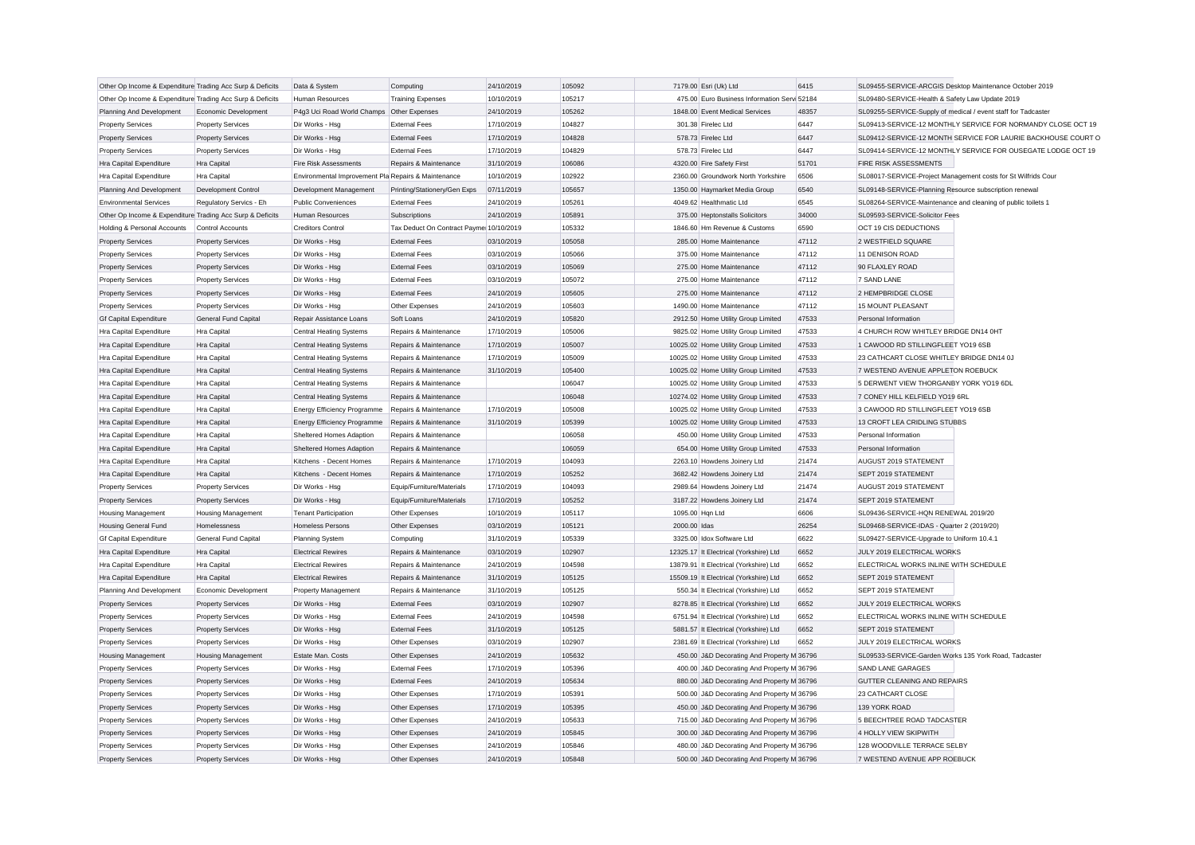| Other Op Income & Expenditure Trading Acc Surp & Deficits |                             | Data & System                                       | Computing                                      | 24/10/2019               | 105092 |              | 7179.00 Esri (Uk) Ltd                                                          | 6415         | SL09455-SERVICE-ARCGIS Desktop Maintenance October 2019             |
|-----------------------------------------------------------|-----------------------------|-----------------------------------------------------|------------------------------------------------|--------------------------|--------|--------------|--------------------------------------------------------------------------------|--------------|---------------------------------------------------------------------|
| Other Op Income & Expenditure Trading Acc Surp & Deficits |                             | <b>Human Resources</b>                              | <b>Training Expenses</b>                       | 10/10/2019               | 105217 |              | 475.00 Euro Business Information Servi 52184                                   |              | SL09480-SERVICE-Health & Safety Law Update 2019                     |
| Planning And Development                                  | Economic Development        | P4g3 Uci Road World Champs Other Expenses           |                                                | 24/10/2019               | 105262 |              | 1848.00 Event Medical Services                                                 | 48357        | SL09255-SERVICE-Supply of medical / event staff for Tadcaster       |
| <b>Property Services</b>                                  | <b>Property Services</b>    | Dir Works - Hsg                                     | <b>External Fees</b>                           | 17/10/2019               | 104827 |              | 301.38 Firelec Ltd                                                             | 6447         | SL09413-SERVICE-12 MONTHLY SERVICE FOR NORMANDY CLOSE OCT 19        |
| <b>Property Services</b>                                  | <b>Property Services</b>    | Dir Works - Hsg                                     | <b>External Fees</b>                           | 17/10/2019               | 104828 |              | 578.73 Firelec Ltd                                                             | 6447         | SL09412-SERVICE-12 MONTH SERVICE FOR LAURIE BACKHOUSE COURT C       |
| <b>Property Services</b>                                  | <b>Property Services</b>    | Dir Works - Hsg                                     | <b>External Fees</b>                           | 17/10/2019               | 104829 |              | 578.73 Firelec Ltd                                                             | 6447         | SL09414-SERVICE-12 MONTHLY SERVICE FOR OUSEGATE LODGE OCT 19        |
| Hra Capital Expenditure                                   | Hra Capital                 | <b>Fire Risk Assessments</b>                        | Repairs & Maintenance                          | 31/10/2019               | 106086 |              | 4320.00 Fire Safety First                                                      | 51701        | FIRE RISK ASSESSMENTS                                               |
| Hra Capital Expenditure                                   | Hra Capital                 | Environmental Improvement Pla Repairs & Maintenance |                                                | 10/10/2019               | 102922 |              | 2360.00 Groundwork North Yorkshire                                             | 6506         | SL08017-SERVICE-Project Management costs for St Wilfrids Cour       |
| Planning And Development                                  | Development Control         | Development Management                              | Printing/Stationery/Gen Exps                   | 07/11/2019               | 105657 |              | 1350.00 Haymarket Media Group                                                  | 6540         | SL09148-SERVICE-Planning Resource subscription renewal              |
| <b>Environmental Services</b>                             | Regulatory Servics - Eh     | <b>Public Conveniences</b>                          | <b>External Fees</b>                           | 24/10/2019               | 105261 |              | 4049.62 Healthmatic Ltd                                                        | 6545         | SL08264-SERVICE-Maintenance and cleaning of public toilets 1        |
| Other Op Income & Expenditure Trading Acc Surp & Deficits |                             | Human Resources                                     | Subscriptions                                  | 24/10/2019               | 105891 |              | 375.00 Heptonstalls Solicitors                                                 | 34000        | SL09593-SERVICE-Solicitor Fees                                      |
| Holding & Personal Accounts                               | Control Accounts            | <b>Creditors Control</b>                            | Tax Deduct On Contract Payme 10/10/2019        |                          | 105332 |              | 1846.60 Hm Revenue & Customs                                                   | 6590         | OCT 19 CIS DEDUCTIONS                                               |
| <b>Property Services</b>                                  | <b>Property Services</b>    | Dir Works - Hsg                                     | <b>External Fees</b>                           | 03/10/2019               | 105058 |              | 285.00 Home Maintenance                                                        | 47112        | 2 WESTFIELD SQUARE                                                  |
| <b>Property Services</b>                                  | <b>Property Services</b>    | Dir Works - Hsg                                     | <b>External Fees</b>                           | 03/10/2019               | 105066 |              | 375.00 Home Maintenance                                                        | 47112        | 11 DENISON ROAD                                                     |
| <b>Property Services</b>                                  | <b>Property Services</b>    | Dir Works - Hsg                                     | <b>External Fees</b>                           | 03/10/2019               | 105069 |              | 275.00 Home Maintenance                                                        | 47112        | 90 FLAXLEY ROAD                                                     |
| <b>Property Services</b>                                  | <b>Property Services</b>    | Dir Works - Hsg                                     | <b>External Fees</b>                           | 03/10/2019               | 105072 |              | 275.00 Home Maintenance                                                        | 47112        | 7 SAND LANE                                                         |
| <b>Property Services</b>                                  | <b>Property Services</b>    | Dir Works - Hsa                                     | <b>External Fees</b>                           | 24/10/2019               | 105605 |              | 275.00 Home Maintenance                                                        | 47112        | 2 HEMPBRIDGE CLOSE                                                  |
| <b>Property Services</b>                                  | <b>Property Services</b>    | Dir Works - Hsg                                     | Other Expenses                                 | 24/10/2019               | 105603 |              | 1490.00 Home Maintenance                                                       | 47112        | 15 MOUNT PLEASANT                                                   |
| <b>Gf Capital Expenditure</b>                             | <b>General Fund Capital</b> | Repair Assistance Loans                             | Soft Loans                                     | 24/10/2019               | 105820 |              | 2912.50 Home Utility Group Limited                                             | 47533        | Personal Information                                                |
| Hra Capital Expenditure                                   | Hra Capital                 | <b>Central Heating Systems</b>                      | Repairs & Maintenance                          | 17/10/2019               | 105006 |              | 9825.02 Home Utility Group Limited                                             | 47533        | 4 CHURCH ROW WHITLEY BRIDGE DN14 0HT                                |
| Hra Capital Expenditure                                   | Hra Capital                 | <b>Central Heating Systems</b>                      | Repairs & Maintenance                          | 17/10/2019               | 105007 |              | 10025.02 Home Utility Group Limited                                            | 47533        | 1 CAWOOD RD STILLINGFLEET YO19 6SB                                  |
| Hra Capital Expenditure                                   | Hra Capital                 | <b>Central Heating Systems</b>                      | Repairs & Maintenance                          | 17/10/2019               | 105009 |              | 10025.02 Home Utility Group Limited                                            | 47533        | 23 CATHCART CLOSE WHITLEY BRIDGE DN14 0J                            |
| Hra Capital Expenditure                                   | Hra Capital                 | <b>Central Heating Systems</b>                      | Repairs & Maintenance                          | 31/10/2019               | 105400 |              | 10025.02 Home Utility Group Limited                                            | 47533        | 7 WESTEND AVENUE APPLETON ROEBUCK                                   |
| Hra Capital Expenditure                                   | Hra Capital                 | <b>Central Heating Systems</b>                      | Repairs & Maintenance                          |                          | 106047 |              | 10025.02 Home Utility Group Limited                                            | 47533        | 5 DERWENT VIEW THORGANBY YORK YO19 6DL                              |
| Hra Capital Expenditure                                   | Hra Capital                 | Central Heating Systems                             | Repairs & Maintenance                          |                          | 106048 |              | 10274.02 Home Utility Group Limited                                            | 47533        | 7 CONEY HILL KELFIELD YO19 6RL                                      |
| Hra Capital Expenditure                                   | Hra Capital                 | <b>Energy Efficiency Programme</b>                  | Repairs & Maintenance                          | 17/10/2019               | 105008 |              | 10025.02 Home Utility Group Limited                                            | 47533        | 3 CAWOOD RD STILLINGFLEET YO19 6SB                                  |
| Hra Capital Expenditure                                   | Hra Capital                 | <b>Energy Efficiency Programme</b>                  | Repairs & Maintenance                          | 31/10/2019               | 105399 |              | 10025.02 Home Utility Group Limited                                            | 47533        | 13 CROFT LEA CRIDLING STUBBS                                        |
| Hra Capital Expenditure                                   | Hra Capital                 | Sheltered Homes Adaption                            | Repairs & Maintenance                          |                          | 106058 |              | 450.00 Home Utility Group Limited                                              | 47533        | Personal Information                                                |
| Hra Capital Expenditure                                   | Hra Capital                 | Sheltered Homes Adaption                            | Repairs & Maintenance                          |                          | 106059 |              | 654.00 Home Utility Group Limited                                              | 47533        | Personal Information                                                |
| Hra Capital Expenditure                                   | Hra Capital                 | Kitchens - Decent Homes                             | Repairs & Maintenance                          | 17/10/2019               | 104093 |              | 2263.10 Howdens Joinery Ltd                                                    | 21474        | AUGUST 2019 STATEMENT                                               |
| Hra Capital Expenditure                                   | Hra Capital                 | Kitchens - Decent Homes                             | Repairs & Maintenance                          | 17/10/2019               | 105252 |              | 3682.42 Howdens Joinery Ltd                                                    | 21474        | SEPT 2019 STATEMENT                                                 |
| <b>Property Services</b>                                  | <b>Property Services</b>    | Dir Works - Hsg                                     | Equip/Furniture/Materials                      | 17/10/2019               | 104093 |              | 2989.64 Howdens Joinery Ltd                                                    | 21474        | AUGUST 2019 STATEMENT                                               |
| <b>Property Services</b>                                  | <b>Property Services</b>    | Dir Works - Hsg                                     | Equip/Furniture/Materials                      | 17/10/2019               | 105252 |              | 3187.22 Howdens Joinery Ltd                                                    | 21474        | SEPT 2019 STATEMENT                                                 |
| Housing Management                                        | <b>Housing Management</b>   | <b>Tenant Participation</b>                         | Other Expenses                                 | 10/10/2019               | 105117 |              | 1095.00 Hqn Ltd                                                                | 6606         | SL09436-SERVICE-HQN RENEWAL 2019/20                                 |
| <b>Housing General Fund</b>                               | Homelessness                | <b>Homeless Persons</b>                             | Other Expenses                                 | 03/10/2019               | 105121 | 2000.00 Idas |                                                                                | 26254        | SL09468-SERVICE-IDAS - Quarter 2 (2019/20)                          |
| <b>Gf Capital Expenditure</b>                             | General Fund Capital        | Planning System                                     | Computing                                      | 31/10/2019               | 105339 |              | 3325.00 Idox Software Ltd                                                      | 6622         | SL09427-SERVICE-Upgrade to Uniform 10.4.1                           |
| Hra Capital Expenditure                                   | Hra Capital                 | <b>Electrical Rewires</b>                           | Repairs & Maintenance                          | 03/10/2019               | 102907 |              | 12325.17 It Electrical (Yorkshire) Ltd                                         | 6652         | JULY 2019 ELECTRICAL WORKS                                          |
|                                                           |                             | <b>Flectrical Rewires</b>                           |                                                |                          | 104598 |              | 13879.91 It Electrical (Yorkshire) Ltd                                         | 6652         | ELECTRICAL WORKS INLINE WITH SCHEDULE                               |
| Hra Capital Expenditure<br>Hra Capital Expenditure        | Hra Capital<br>Hra Capital  | <b>Electrical Rewires</b>                           | Repairs & Maintenance<br>Repairs & Maintenance | 24/10/2019<br>31/10/2019 | 105125 |              | 15509.19 It Electrical (Yorkshire) Ltd                                         | 6652         | SEPT 2019 STATEMENT                                                 |
| Planning And Development                                  | Economic Development        | Property Management                                 | Repairs & Maintenance                          | 31/10/2019               | 105125 |              | 550.34 It Electrical (Yorkshire) Ltd                                           | 6652         | SEPT 2019 STATEMENT                                                 |
|                                                           |                             |                                                     |                                                |                          | 102907 |              |                                                                                |              |                                                                     |
| <b>Property Services</b>                                  | <b>Property Services</b>    | Dir Works - Hsg                                     | <b>External Fees</b><br><b>External Fees</b>   | 03/10/2019<br>24/10/2019 | 104598 |              | 8278.85 It Electrical (Yorkshire) Ltd<br>6751.94 It Electrical (Yorkshire) Ltd | 6652<br>6652 | JULY 2019 ELECTRICAL WORKS<br>ELECTRICAL WORKS INLINE WITH SCHEDULE |
| <b>Property Services</b>                                  | <b>Property Services</b>    | Dir Works - Hsg                                     |                                                |                          | 105125 |              |                                                                                |              |                                                                     |
| <b>Property Services</b>                                  | <b>Property Services</b>    | Dir Works - Hsg                                     | <b>External Fees</b>                           | 31/10/2019               | 102907 |              | 5881.57 It Electrical (Yorkshire) Ltd<br>2381.69 It Electrical (Yorkshire) Ltd | 6652<br>6652 | SEPT 2019 STATEMENT                                                 |
| <b>Property Services</b>                                  | <b>Property Services</b>    | Dir Works - Hsg                                     | Other Expenses                                 | 03/10/2019               | 105632 |              |                                                                                |              | JULY 2019 ELECTRICAL WORKS                                          |
| <b>Housing Management</b>                                 | <b>Housing Management</b>   | Estate Man. Costs                                   | Other Expenses                                 | 24/10/2019               | 105396 |              | 450.00 J&D Decorating And Property M 36796                                     |              | SL09533-SERVICE-Garden Works 135 York Road, Tadcaster               |
| <b>Property Services</b>                                  | <b>Property Services</b>    | Dir Works - Hsg                                     | <b>External Fees</b>                           | 17/10/2019               | 105634 |              | 400.00 J&D Decorating And Property M 36796                                     |              | SAND LANE GARAGES<br>GUTTER CLEANING AND REPAIRS                    |
| <b>Property Services</b>                                  | <b>Property Services</b>    | Dir Works - Hsg                                     | <b>External Fees</b>                           | 24/10/2019               |        |              | 880.00 J&D Decorating And Property M 36796                                     |              |                                                                     |
| <b>Property Services</b>                                  | <b>Property Services</b>    | Dir Works - Hsg                                     | Other Expenses                                 | 17/10/2019               | 105391 |              | 500.00 J&D Decorating And Property M 36796                                     |              | 23 CATHCART CLOSE                                                   |
| <b>Property Services</b>                                  | <b>Property Services</b>    | Dir Works - Hsg                                     | Other Expenses                                 | 17/10/2019               | 105395 |              | 450.00 J&D Decorating And Property M 36796                                     |              | 139 YORK ROAD                                                       |
| <b>Property Services</b>                                  | <b>Property Services</b>    | Dir Works - Hsg                                     | Other Expenses                                 | 24/10/2019               | 105633 |              | 715.00 J&D Decorating And Property M 36796                                     |              | 5 BEECHTREE ROAD TADCASTER                                          |
| <b>Property Services</b>                                  | <b>Property Services</b>    | Dir Works - Hsg                                     | Other Expenses                                 | 24/10/2019               | 105845 |              | 300.00 J&D Decorating And Property M 36796                                     |              | 4 HOLLY VIEW SKIPWITH                                               |
| <b>Property Services</b>                                  | <b>Property Services</b>    | Dir Works - Hsg                                     | Other Expenses                                 | 24/10/2019               | 105846 |              | 480.00 J&D Decorating And Property M 36796                                     |              | 128 WOODVILLE TERRACE SELBY                                         |
| <b>Property Services</b>                                  | <b>Property Services</b>    | Dir Works - Hsg                                     | Other Expenses                                 | 24/10/2019               | 105848 |              | 500.00 J&D Decorating And Property M 36796                                     |              | 7 WESTEND AVENUE APP ROEBUCK                                        |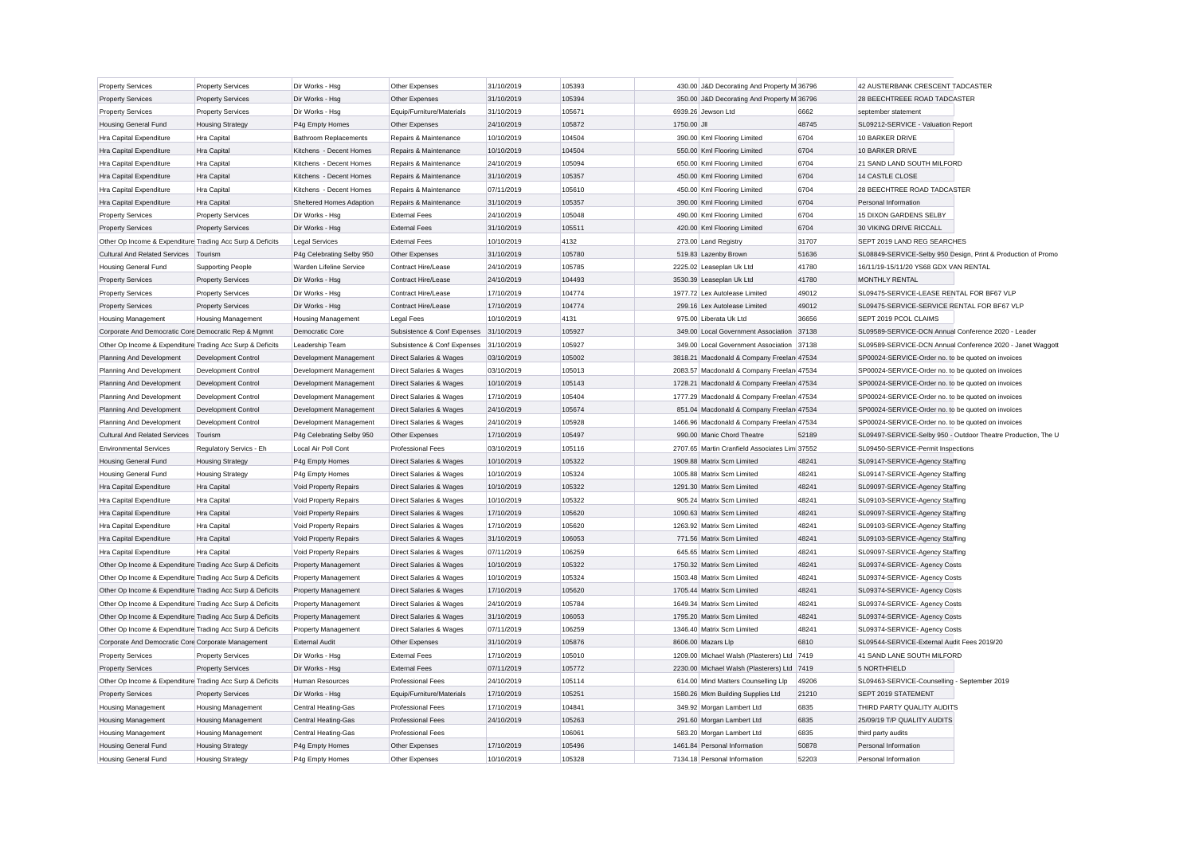| <b>Property Services</b>                                                       | <b>Property Services</b>   | Dir Works - Hsg                           | Other Expenses              | 31/10/2019 | 105393           |             | 430.00 J&D Decorating And Property M 36796    |               | 42 AUSTERBANK CRESCENT TADCASTER                              |
|--------------------------------------------------------------------------------|----------------------------|-------------------------------------------|-----------------------------|------------|------------------|-------------|-----------------------------------------------|---------------|---------------------------------------------------------------|
| <b>Property Services</b>                                                       | <b>Property Services</b>   | Dir Works - Hsg                           | Other Expenses              | 31/10/2019 | 105394           |             | 350.00 J&D Decorating And Property M 36796    |               | 28 BEECHTREEE ROAD TADCASTER                                  |
| <b>Property Services</b>                                                       | <b>Property Services</b>   | Dir Works - Hsg                           | Equip/Furniture/Materials   | 31/10/2019 | 105671           |             | 6939.26 Jewson Ltd                            | 6662          | september statement                                           |
| <b>Housing General Fund</b>                                                    | <b>Housing Strategy</b>    | P4g Empty Homes                           | Other Expenses              | 24/10/2019 | 105872           | 1750.00 JII |                                               | 48745         | SL09212-SERVICE - Valuation Report                            |
| Hra Capital Expenditure                                                        | Hra Capital                | <b>Bathroom Replacements</b>              | Repairs & Maintenance       | 10/10/2019 | 104504           |             | 390.00 Kml Flooring Limited                   | 6704          | 10 BARKER DRIVE                                               |
| Hra Capital Expenditure                                                        | <b>Hra Capital</b>         | Kitchens - Decent Homes                   | Repairs & Maintenance       | 10/10/2019 | 104504           |             | 550.00 Kml Flooring Limited                   | 6704          | 10 BARKER DRIVE                                               |
| Hra Capital Expenditure                                                        | Hra Capital                | Kitchens - Decent Homes                   | Repairs & Maintenance       | 24/10/2019 | 105094           |             | 650.00 Kml Flooring Limited                   | 6704          | 21 SAND LAND SOUTH MILFORD                                    |
| Hra Capital Expenditure                                                        | <b>Hra Capital</b>         | Kitchens - Decent Homes                   | Repairs & Maintenance       | 31/10/2019 | 105357           |             | 450.00 Kml Flooring Limited                   | 6704          | 14 CASTLE CLOSE                                               |
| Hra Capital Expenditure                                                        | <b>Hra Capital</b>         | Kitchens - Decent Homes                   | Repairs & Maintenance       | 07/11/2019 | 105610           |             | 450.00 Kml Flooring Limited                   | 6704          | 28 BEECHTREE ROAD TADCASTER                                   |
| Hra Capital Expenditure                                                        | <b>Hra Capital</b>         | Sheltered Homes Adaption                  | Repairs & Maintenance       | 31/10/2019 | 105357           |             | 390.00 Kml Flooring Limited                   | 6704          | Personal Information                                          |
| <b>Property Services</b>                                                       | <b>Property Services</b>   | Dir Works - Hsg                           | <b>External Fees</b>        | 24/10/2019 | 105048           |             | 490.00 Kml Flooring Limited                   | 6704          | 15 DIXON GARDENS SELBY                                        |
| <b>Property Services</b>                                                       | <b>Property Services</b>   | Dir Works - Hsa                           | <b>External Fees</b>        | 31/10/2019 | 105511           |             | 420.00 Kml Flooring Limited                   | 6704          | 30 VIKING DRIVE RICCALL                                       |
| Other Op Income & Expenditure Trading Acc Surp & Deficits                      |                            | <b>Legal Services</b>                     | <b>External Fees</b>        | 10/10/2019 | 4132             |             | 273.00 Land Registry                          | 31707         | SEPT 2019 LAND REG SEARCHES                                   |
| <b>Cultural And Related Services</b>                                           | Tourism                    | P4g Celebrating Selby 950                 | Other Expenses              | 31/10/2019 | 105780           |             | 519.83 Lazenby Brown                          | 51636         | SL08849-SERVICE-Selby 950 Design, Print & Production of Promo |
| <b>Housing General Fund</b>                                                    | <b>Supporting People</b>   | Warden Lifeline Service                   | Contract Hire/Lease         | 24/10/2019 | 105785           |             | 2225.02 Leaseplan Uk Ltd                      | 41780         | 16/11/19-15/11/20 YS68 GDX VAN RENTAL                         |
| <b>Property Services</b>                                                       | <b>Property Services</b>   | Dir Works - Hsg                           | Contract Hire/Lease         | 24/10/2019 | 104493           |             | 3530.39 Leaseplan Uk Ltd                      | 41780         | MONTHLY RENTAL                                                |
| <b>Property Services</b>                                                       | <b>Property Services</b>   | Dir Works - Hsa                           | Contract Hire/Lease         | 17/10/2019 | 104774           |             | 1977.72 Lex Autolease Limited                 | 49012         | SL09475-SERVICE-LEASE RENTAL FOR BF67 VLP                     |
| <b>Property Services</b>                                                       | <b>Property Services</b>   | Dir Works - Hsg                           | Contract Hire/Lease         | 17/10/2019 | 104774           |             | 299.16 Lex Autolease Limited                  | 49012         | SL09475-SERVICE-SERVICE RENTAL FOR BF67 VLP                   |
| <b>Housing Management</b>                                                      | <b>Housing Management</b>  | <b>Housing Management</b>                 | <b>Legal Fees</b>           | 10/10/2019 | 4131             |             | 975.00 Liberata Uk Ltd                        | 36656         | SEPT 2019 PCOL CLAIMS                                         |
| Corporate And Democratic Core Democratic Rep & Mgmnt                           |                            | Democratic Core                           | Subsistence & Conf Expenses | 31/10/2019 | 105927           |             | 349.00 Local Government Association 37138     |               | SL09589-SERVICE-DCN Annual Conference 2020 - Leader           |
| Other Op Income & Expenditure Trading Acc Surp & Deficits                      |                            | Leadership Team                           | Subsistence & Conf Expenses | 31/10/2019 | 105927           |             | 349.00 Local Government Association 37138     |               | SL09589-SERVICE-DCN Annual Conference 2020 - Janet Waggott    |
| Planning And Development                                                       | Development Control        | Development Management                    | Direct Salaries & Wages     | 03/10/2019 | 105002           |             | 3818.21 Macdonald & Company Freelan 47534     |               | SP00024-SERVICE-Order no. to be quoted on invoices            |
| Planning And Development                                                       | Development Control        | Development Management                    | Direct Salaries & Wages     | 03/10/2019 | 105013           |             | 2083.57 Macdonald & Company Freelan 47534     |               | SP00024-SERVICE-Order no, to be quoted on invoices            |
| Planning And Development                                                       | Development Control        | Development Management                    | Direct Salaries & Wages     | 10/10/2019 | 105143           |             | 1728.21 Macdonald & Company Freelan 47534     |               | SP00024-SERVICE-Order no. to be quoted on invoices            |
| Planning And Development                                                       | <b>Development Control</b> | Development Management                    | Direct Salaries & Wages     | 17/10/2019 | 105404           |             | 1777.29 Macdonald & Company Freelan 47534     |               | SP00024-SERVICE-Order no. to be quoted on invoices            |
| Planning And Development                                                       | <b>Development Control</b> | Development Management                    | Direct Salaries & Wages     | 24/10/2019 | 105674           |             | 851.04 Macdonald & Company Freelan 47534      |               | SP00024-SERVICE-Order no. to be quoted on invoices            |
| Planning And Development                                                       | Development Control        | Development Management                    | Direct Salaries & Wages     | 24/10/2019 | 105928           |             | 1466.96 Macdonald & Company Freelan 47534     |               | SP00024-SERVICE-Order no. to be quoted on invoices            |
| <b>Cultural And Related Services</b>                                           | Tourism                    | P4g Celebrating Selby 950                 | Other Expenses              | 17/10/2019 | 105497           |             | 990.00 Manic Chord Theatre                    | 52189         | SL09497-SERVICE-Selby 950 - Outdoor Theatre Production, The U |
| <b>Environmental Services</b>                                                  | Regulatory Servics - Eh    | Local Air Poll Cont                       | <b>Professional Fees</b>    | 03/10/2019 | 105116           |             | 2707.65 Martin Cranfield Associates Lim 37552 |               | SL09450-SERVICE-Permit Inspections                            |
| <b>Housing General Fund</b>                                                    | <b>Housing Strategy</b>    | P4g Empty Homes                           | Direct Salaries & Wages     | 10/10/2019 | 105322           |             | 1909.88 Matrix Scm Limited                    | 48241         | SL09147-SERVICE-Agency Staffing                               |
| <b>Housing General Fund</b>                                                    | <b>Housing Strategy</b>    | P4g Empty Homes                           | Direct Salaries & Wages     | 10/10/2019 | 105324           |             | 1005.88 Matrix Scm Limited                    | 48241         | SL09147-SERVICE-Agency Staffing                               |
| Hra Capital Expenditure                                                        | Hra Capital                | Void Property Repairs                     | Direct Salaries & Wages     | 10/10/2019 | 105322           |             | 1291.30 Matrix Scm Limited                    | 48241         | SL09097-SERVICE-Agency Staffing                               |
| Hra Capital Expenditure                                                        | Hra Capital                | Void Property Repairs                     | Direct Salaries & Wages     | 10/10/2019 | 105322           |             | 905.24 Matrix Scm Limited                     | 48241         | SL09103-SERVICE-Agency Staffing                               |
| Hra Capital Expenditure                                                        | Hra Capital                | Void Property Repairs                     | Direct Salaries & Wages     | 17/10/2019 | 105620           |             | 1090.63 Matrix Scm Limited                    | 48241         | SL09097-SERVICE-Agency Staffing                               |
| Hra Capital Expenditure                                                        | Hra Capital                | Void Property Repairs                     | Direct Salaries & Wages     | 17/10/2019 | 105620           |             | 1263.92 Matrix Scm Limited                    | 48241         | SL09103-SERVICE-Agency Staffing                               |
| Hra Capital Expenditure                                                        | <b>Hra Capital</b>         | Void Property Repairs                     | Direct Salaries & Wages     | 31/10/2019 | 106053           |             | 771.56 Matrix Scm Limited                     | 48241         | SL09103-SERVICE-Agency Staffing                               |
| Hra Capital Expenditure                                                        | <b>Hra Capital</b>         | Void Property Repairs                     | Direct Salaries & Wages     | 07/11/2019 | 106259           |             | 645.65 Matrix Scm Limited                     | 48241         | SL09097-SERVICE-Agency Staffing                               |
| Other Op Income & Expenditure Trading Acc Surp & Deficits                      |                            | <b>Property Management</b>                | Direct Salaries & Wages     | 10/10/2019 | 105322           |             | 1750.32 Matrix Scm Limited                    | 48241         | SL09374-SERVICE- Agency Costs                                 |
| Other Op Income & Expenditure Trading Acc Surp & Deficits                      |                            | Property Management                       | Direct Salaries & Wages     | 10/10/2019 | 105324           |             | 1503.48 Matrix Scm Limited                    | 48241         | SL09374-SERVICE- Agency Costs                                 |
| Other Op Income & Expenditure Trading Acc Surp & Deficits                      |                            | <b>Property Management</b>                | Direct Salaries & Wages     | 17/10/2019 | 105620           |             | 1705.44 Matrix Scm Limited                    | 48241         | SL09374-SERVICE- Agency Costs                                 |
| Other Op Income & Expenditure Trading Acc Surp & Deficits                      |                            | <b>Property Management</b>                | Direct Salaries & Wages     | 24/10/2019 | 105784           |             | 1649.34 Matrix Scm Limited                    | 48241         | SL09374-SERVICE- Agency Costs                                 |
| Other Op Income & Expenditure Trading Acc Surp & Deficits                      |                            | <b>Property Management</b>                | Direct Salaries & Wages     | 31/10/2019 | 106053           |             | 1795.20 Matrix Scm Limited                    | 48241         | SL09374-SERVICE- Agency Costs                                 |
| Other Op Income & Expenditure Trading Acc Surp & Deficits                      |                            | <b>Property Management</b>                | Direct Salaries & Wages     | 07/11/2019 | 106259           |             | 1346.40 Matrix Scm Limited                    | 48241         | SL09374-SERVICE- Agency Costs                                 |
|                                                                                |                            | <b>External Audit</b>                     | Other Expenses              | 31/10/2019 | 105876           |             | 8606.00 Mazars Llp                            | 6810          | SL09544-SERVICE-External Audit Fees 2019/20                   |
| Corporate And Democratic Core Corporate Management<br><b>Property Services</b> |                            | Dir Works - Hsg                           | <b>External Fees</b>        | 17/10/2019 | 105010           |             | 1209.00 Michael Walsh (Plasterers) Ltd 7419   |               | 41 SAND LANE SOUTH MILFORD                                    |
|                                                                                | <b>Property Services</b>   |                                           | <b>External Fees</b>        | 07/11/2019 | 105772           |             | 2230.00 Michael Walsh (Plasterers) Ltd 7419   |               | 5 NORTHFIELD                                                  |
| <b>Property Services</b>                                                       | <b>Property Services</b>   | Dir Works - Hsg<br><b>Human Resources</b> | <b>Professional Fees</b>    | 24/10/2019 | 105114           |             | 614.00 Mind Matters Counselling Llp           | 49206         | SL09463-SERVICE-Counselling - September 2019                  |
| Other Op Income & Expenditure Trading Acc Surp & Deficits                      |                            |                                           |                             |            |                  |             |                                               |               |                                                               |
| <b>Property Services</b>                                                       | <b>Property Services</b>   | Dir Works - Hsg                           | Equip/Furniture/Materials   | 17/10/2019 | 105251<br>104841 |             | 1580.26 Mkm Building Supplies Ltd             | 21210<br>6835 | SEPT 2019 STATEMENT                                           |
| Housing Management                                                             | <b>Housing Management</b>  | Central Heating-Gas                       | <b>Professional Fees</b>    | 17/10/2019 |                  |             | 349.92 Morgan Lambert Ltd                     |               | THIRD PARTY QUALITY AUDITS                                    |
| <b>Housing Management</b>                                                      | <b>Housing Management</b>  | Central Heating-Gas                       | <b>Professional Fees</b>    | 24/10/2019 | 105263<br>106061 |             | 291.60 Morgan Lambert Ltd                     | 6835<br>6835  | 25/09/19 T/P QUALITY AUDITS                                   |
| <b>Housing Management</b>                                                      | <b>Housing Management</b>  | Central Heating-Gas                       | <b>Professional Fees</b>    |            |                  |             | 583.20 Morgan Lambert Ltd                     |               | third party audits                                            |
| <b>Housing General Fund</b>                                                    | <b>Housing Strategy</b>    | P4g Empty Homes                           | Other Expenses              | 17/10/2019 | 105496           |             | 1461.84 Personal Information                  | 50878         | Personal Information                                          |
| <b>Housing General Fund</b>                                                    | <b>Housing Strategy</b>    | P4g Empty Homes                           | Other Expenses              | 10/10/2019 | 105328           |             | 7134.18 Personal Information                  | 52203         | Personal Information                                          |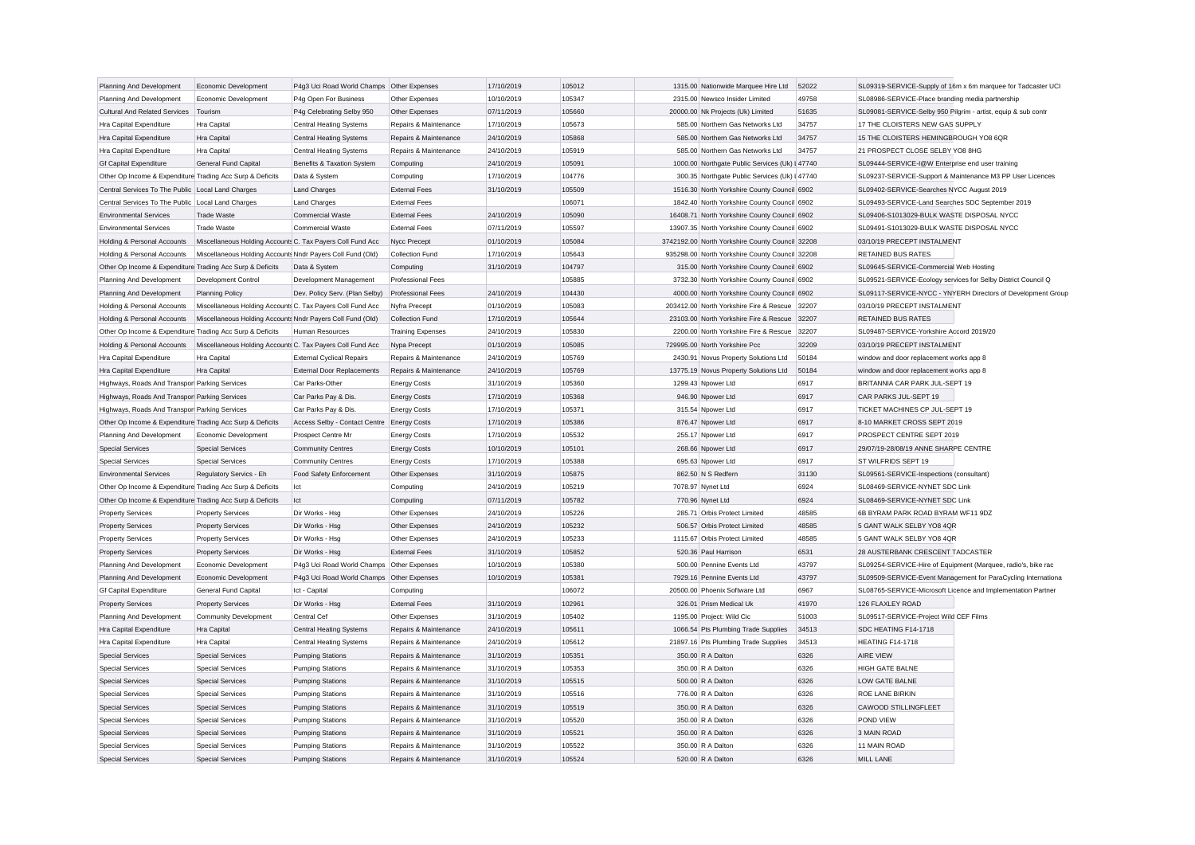| Planning And Development                                                              | Economic Development                                       | P4g3 Uci Road World Champs Other Expenses |                          | 17/10/2019               | 105012           |                                        | 1315.00 Nationwide Marquee Hire Ltd             | 52022        |                                                               | SL09319-SERVICE-Supply of 16m x 6m marquee for Tadcaster UCI  |
|---------------------------------------------------------------------------------------|------------------------------------------------------------|-------------------------------------------|--------------------------|--------------------------|------------------|----------------------------------------|-------------------------------------------------|--------------|---------------------------------------------------------------|---------------------------------------------------------------|
| Planning And Development                                                              | Economic Development                                       | P4q Open For Business                     | Other Expenses           | 10/10/2019               | 105347           |                                        | 2315.00 Newsco Insider Limited                  | 49758        | SL08986-SERVICE-Place branding media partnership              |                                                               |
| <b>Cultural And Related Services</b>                                                  | Tourism                                                    | P4g Celebrating Selby 950                 | Other Expenses           | 07/11/2019               | 105660           |                                        | 20000.00 Nk Projects (Uk) Limited               | 51635        | SL09081-SERVICE-Selby 950 Pilgrim - artist, equip & sub contr |                                                               |
| Hra Capital Expenditure                                                               | Hra Capital                                                | <b>Central Heating Systems</b>            | Repairs & Maintenance    | 17/10/2019               | 105673           |                                        | 585.00 Northern Gas Networks Ltd                | 34757        | 17 THE CLOISTERS NEW GAS SUPPLY                               |                                                               |
| Hra Capital Expenditure                                                               | Hra Capital                                                | <b>Central Heating Systems</b>            | Repairs & Maintenance    | 24/10/2019               | 105868           |                                        | 585.00 Northern Gas Networks Ltd                | 34757        | 15 THE CLOISTERS HEMINGBROUGH YO8 6QR                         |                                                               |
| Hra Capital Expenditure                                                               | Hra Capital                                                | <b>Central Heating Systems</b>            | Repairs & Maintenance    | 24/10/2019               | 105919           |                                        | 585.00 Northern Gas Networks Ltd                | 34757        | 21 PROSPECT CLOSE SELBY YO8 8HG                               |                                                               |
| <b>Gf Capital Expenditure</b>                                                         | <b>General Fund Capital</b>                                | Benefits & Taxation System                | Computing                | 24/10/2019               | 105091           |                                        | 1000.00 Northgate Public Services (Uk) I 47740  |              | SL09444-SERVICE-I@W Enterprise end user training              |                                                               |
| Other Op Income & Expenditure Trading Acc Surp & Deficits                             |                                                            | Data & System                             | Computing                | 17/10/2019               | 104776           |                                        | 300.35 Northgate Public Services (Uk) I 47740   |              | SL09237-SERVICE-Support & Maintenance M3 PP User Licences     |                                                               |
| Central Services To The Public Local Land Charges                                     |                                                            | <b>Land Charges</b>                       | <b>External Fees</b>     | 31/10/2019               | 105509           |                                        | 1516.30 North Yorkshire County Council 6902     |              | SL09402-SERVICE-Searches NYCC August 2019                     |                                                               |
| Central Services To The Public Local Land Charges                                     |                                                            | <b>Land Charges</b>                       | <b>External Fees</b>     |                          | 106071           |                                        | 1842.40 North Yorkshire County Council 6902     |              | SL09493-SERVICE-Land Searches SDC September 2019              |                                                               |
| <b>Environmental Services</b>                                                         | <b>Trade Waste</b>                                         | <b>Commercial Waste</b>                   | <b>External Fees</b>     | 24/10/2019               | 105090           |                                        | 16408.71 North Yorkshire County Council 6902    |              | SL09406-S1013029-BULK WASTE DISPOSAL NYCC                     |                                                               |
| <b>Environmental Services</b>                                                         | <b>Trade Waste</b>                                         | <b>Commercial Waste</b>                   | <b>External Fees</b>     | 07/11/2019               | 105597           |                                        | 13907.35 North Yorkshire County Council 6902    |              | SL09491-S1013029-BULK WASTE DISPOSAL NYCC                     |                                                               |
| Holding & Personal Accounts                                                           | Miscellaneous Holding Accounts C. Tax Payers Coll Fund Acc |                                           | Nycc Precept             | 01/10/2019               | 105084           |                                        | 3742192.00 North Yorkshire County Council 32208 |              | 03/10/19 PRECEPT INSTALMENT                                   |                                                               |
| Holding & Personal Accounts                                                           | Miscellaneous Holding Accounts Nndr Payers Coll Fund (Old) |                                           | Collection Fund          | 17/10/2019               | 105643           |                                        | 935298.00 North Yorkshire County Council 32208  |              | <b>RETAINED BUS RATES</b>                                     |                                                               |
| Other Op Income & Expenditure Trading Acc Surp & Deficits                             |                                                            | Data & System                             | Computing                | 31/10/2019               | 104797           |                                        | 315.00 North Yorkshire County Council 6902      |              | SL09645-SERVICE-Commercial Web Hosting                        |                                                               |
| Planning And Development                                                              | Development Control                                        | Development Management                    | <b>Professional Fees</b> |                          | 105885           |                                        | 3732.30 North Yorkshire County Council 6902     |              | SL09521-SERVICE-Ecology services for Selby District Council Q |                                                               |
| Planning And Development                                                              | <b>Planning Policy</b>                                     | Dev. Policy Serv. (Plan Selby)            | <b>Professional Fees</b> | 24/10/2019               | 104430           |                                        | 4000.00 North Yorkshire County Council 6902     |              |                                                               | SL09117-SERVICE-NYCC - YNYERH Directors of Development Group  |
| Holding & Personal Accounts                                                           | Miscellaneous Holding Accounts C. Tax Payers Coll Fund Acc |                                           | Nyfra Precept            | 01/10/2019               | 105083           |                                        | 203412.00 North Yorkshire Fire & Rescue 32207   |              | 03/10/19 PRECEPT INSTALMENT                                   |                                                               |
| Holding & Personal Accounts                                                           | Miscellaneous Holding Accounts Nndr Payers Coll Fund (Old) |                                           | Collection Fund          | 17/10/2019               | 105644           |                                        | 23103.00 North Yorkshire Fire & Rescue 32207    |              | <b>RETAINED BUS RATES</b>                                     |                                                               |
| Other Op Income & Expenditure Trading Acc Surp & Deficits                             |                                                            | Human Resources                           | <b>Training Expenses</b> | 24/10/2019               | 105830           |                                        | 2200.00 North Yorkshire Fire & Rescue 32207     |              | SL09487-SERVICE-Yorkshire Accord 2019/20                      |                                                               |
| Holding & Personal Accounts                                                           | Miscellaneous Holding Accounts C. Tax Payers Coll Fund Acc |                                           | Nypa Precept             | 01/10/2019               | 105085           | 729995.00 North Yorkshire Pcc          |                                                 | 32209        | 03/10/19 PRECEPT INSTALMENT                                   |                                                               |
| Hra Capital Expenditure                                                               | Hra Capital                                                | <b>External Cyclical Repairs</b>          | Repairs & Maintenance    | 24/10/2019               | 105769           |                                        | 2430.91 Novus Property Solutions Ltd            | 50184        | window and door replacement works app 8                       |                                                               |
| Hra Capital Expenditure                                                               | Hra Capital                                                | <b>External Door Replacements</b>         | Repairs & Maintenance    | 24/10/2019               | 105769           |                                        | 13775.19 Novus Property Solutions Ltd           | 50184        | window and door replacement works app 8                       |                                                               |
| Highways, Roads And Transpor Parking Services                                         |                                                            | Car Parks-Other                           | <b>Energy Costs</b>      | 31/10/2019               | 105360           | 1299.43 Npower Ltd                     |                                                 | 6917         | BRITANNIA CAR PARK JUL-SEPT 19                                |                                                               |
| Highways, Roads And Transpor Parking Services                                         |                                                            | Car Parks Pay & Dis.                      | <b>Energy Costs</b>      | 17/10/2019               | 105368           | 946.90 Npower Ltd                      |                                                 | 6917         | CAR PARKS JUL-SEPT 19                                         |                                                               |
| Highways, Roads And Transpor Parking Services                                         |                                                            | Car Parks Pay & Dis                       |                          | 17/10/2019               | 105371           | 315.54 Npower Ltd                      |                                                 | 6917         | TICKET MACHINES CP JUL-SEPT 19                                |                                                               |
|                                                                                       |                                                            |                                           | <b>Energy Costs</b>      |                          |                  |                                        |                                                 |              |                                                               |                                                               |
| Other Op Income & Expenditure Trading Acc Surp & Deficits<br>Planning And Development | Economic Development                                       | Access Selby - Contact Centre             | <b>Energy Costs</b>      | 17/10/2019<br>17/10/2019 | 105386<br>105532 | 876.47 Npower Ltd<br>255.17 Npower Ltd |                                                 | 6917<br>6917 | 8-10 MARKET CROSS SEPT 2019<br>PROSPECT CENTRE SEPT 2019      |                                                               |
| <b>Special Services</b>                                                               | <b>Special Services</b>                                    | Prospect Centre Mr                        | <b>Energy Costs</b>      | 10/10/2019               | 105101           | 268.66 Npower Ltd                      |                                                 | 6917         | 29/07/19-28/08/19 ANNE SHARPE CENTRE                          |                                                               |
|                                                                                       |                                                            | <b>Community Centres</b>                  | <b>Energy Costs</b>      |                          |                  |                                        |                                                 |              |                                                               |                                                               |
| <b>Special Services</b>                                                               | <b>Special Services</b>                                    | <b>Community Centres</b>                  | <b>Energy Costs</b>      | 17/10/2019               | 105388           | 695.63 Npower Ltd                      |                                                 | 6917         | ST WILFRIDS SEPT 19                                           |                                                               |
| <b>Environmental Services</b>                                                         | Regulatory Servics - Eh                                    | Food Safety Enforcement                   | Other Expenses           | 31/10/2019               | 105875           | 862.50 N S Redfern                     |                                                 | 31130        | SL09561-SERVICE-Inspections (consultant)                      |                                                               |
| Other Op Income & Expenditure Trading Acc Surp & Deficits                             |                                                            | Ict                                       | Computing                | 24/10/2019               | 105219           | 7078.97 Nynet Ltd                      |                                                 | 6924         | SL08469-SERVICE-NYNET SDC Link                                |                                                               |
| Other Op Income & Expenditure Trading Acc Surp & Deficits                             |                                                            | lct                                       | Computing                | 07/11/2019               | 105782           | 770.96 Nynet Ltd                       |                                                 | 6924         | SL08469-SERVICE-NYNET SDC Link                                |                                                               |
| <b>Property Services</b>                                                              | <b>Property Services</b>                                   | Dir Works - Hsg                           | Other Expenses           | 24/10/2019               | 105226           |                                        | 285.71 Orbis Protect Limited                    | 48585        | 6B BYRAM PARK ROAD BYRAM WF11 9DZ                             |                                                               |
| <b>Property Services</b>                                                              | <b>Property Services</b>                                   | Dir Works - Hsg                           | Other Expenses           | 24/10/2019               | 105232           |                                        | 506.57 Orbis Protect Limited                    | 48585        | 5 GANT WALK SELBY YO8 4QR                                     |                                                               |
| <b>Property Services</b>                                                              | <b>Property Services</b>                                   | Dir Works - Hsg                           | Other Expenses           | 24/10/2019               | 105233           |                                        | 1115.67 Orbis Protect Limited                   | 48585        | 5 GANT WALK SELBY YO8 4QR                                     |                                                               |
| <b>Property Services</b>                                                              | <b>Property Services</b>                                   | Dir Works - Hsg                           | <b>External Fees</b>     | 31/10/2019               | 105852           | 520.36 Paul Harrison                   |                                                 | 6531         | 28 AUSTERBANK CRESCENT TADCASTER                              |                                                               |
| Planning And Development                                                              | Economic Development                                       | P4g3 Uci Road World Champs                | Other Expenses           | 10/10/2019               | 105380           |                                        | 500.00 Pennine Events Ltd                       | 43797        | SL09254-SERVICE-Hire of Equipment (Marquee, radio's, bike rac |                                                               |
| Planning And Development                                                              | Economic Development                                       | P4q3 Uci Road World Champs Other Expenses |                          | 10/10/2019               | 105381           |                                        | 7929.16 Pennine Events Ltd                      | 43797        |                                                               | SL09509-SERVICE-Event Management for ParaCycling Internationa |
| <b>Gf Capital Expenditure</b>                                                         | General Fund Capital                                       | Ict - Capital                             | Computing                |                          | 106072           |                                        | 20500.00 Phoenix Software Ltd                   | 6967         | SL08765-SERVICE-Microsoft Licence and Implementation Partner  |                                                               |
| <b>Property Services</b>                                                              | <b>Property Services</b>                                   | Dir Works - Hsg                           | <b>External Fees</b>     | 31/10/2019               | 102961           |                                        | 326.01 Prism Medical Uk                         | 41970        | 126 FLAXLEY ROAD                                              |                                                               |
| Planning And Development                                                              | <b>Community Development</b>                               | Central Cef                               | Other Expenses           | 31/10/2019               | 105402           | 1195.00 Project: Wild Cic              |                                                 | 51003        | SL09517-SERVICE-Project Wild CEF Films                        |                                                               |
| Hra Capital Expenditure                                                               | Hra Capital                                                | <b>Central Heating Systems</b>            | Repairs & Maintenance    | 24/10/2019               | 105611           |                                        | 1066.54 Pts Plumbing Trade Supplies             | 34513        | SDC HEATING F14-1718                                          |                                                               |
| Hra Capital Expenditure                                                               | Hra Capital                                                | <b>Central Heating Systems</b>            | Repairs & Maintenance    | 24/10/2019               | 105612           |                                        | 21897.16 Pts Plumbing Trade Supplies            | 34513        | <b>HEATING F14-1718</b>                                       |                                                               |
| <b>Special Services</b>                                                               | <b>Special Services</b>                                    | <b>Pumping Stations</b>                   | Repairs & Maintenance    | 31/10/2019               | 105351           | 350.00 R A Dalton                      |                                                 | 6326         | AIRE VIEW                                                     |                                                               |
| <b>Special Services</b>                                                               | <b>Special Services</b>                                    | <b>Pumping Stations</b>                   | Repairs & Maintenance    | 31/10/2019               | 105353           | 350.00 R A Dalton                      |                                                 | 6326         | HIGH GATE BALNE                                               |                                                               |
| <b>Special Services</b>                                                               | <b>Special Services</b>                                    | <b>Pumping Stations</b>                   | Repairs & Maintenance    | 31/10/2019               | 105515           | 500.00 R A Dalton                      |                                                 | 6326         | LOW GATE BALNE                                                |                                                               |
| <b>Special Services</b>                                                               | <b>Special Services</b>                                    | <b>Pumping Stations</b>                   | Repairs & Maintenance    | 31/10/2019               | 105516           | 776.00 R A Dalton                      |                                                 | 6326         | ROE LANE BIRKIN                                               |                                                               |
| <b>Special Services</b>                                                               | <b>Special Services</b>                                    | <b>Pumping Stations</b>                   | Repairs & Maintenance    | 31/10/2019               | 105519           | 350.00 R A Dalton                      |                                                 | 6326         | CAWOOD STILLINGFLEET                                          |                                                               |
| <b>Special Services</b>                                                               | <b>Special Services</b>                                    | <b>Pumping Stations</b>                   | Repairs & Maintenance    | 31/10/2019               | 105520           | 350.00 R A Dalton                      |                                                 | 6326         | POND VIEW                                                     |                                                               |
| <b>Special Services</b>                                                               | <b>Special Services</b>                                    | <b>Pumping Stations</b>                   | Repairs & Maintenance    | 31/10/2019               | 105521           | 350.00 R A Dalton                      |                                                 | 6326         | 3 MAIN ROAD                                                   |                                                               |
| <b>Special Services</b>                                                               | <b>Special Services</b>                                    | <b>Pumping Stations</b>                   | Repairs & Maintenance    | 31/10/2019               | 105522           | 350.00 R A Dalton                      |                                                 | 6326         | 11 MAIN ROAD                                                  |                                                               |
| <b>Special Services</b>                                                               | <b>Special Services</b>                                    | <b>Pumping Stations</b>                   | Repairs & Maintenance    | 31/10/2019               | 105524           | 520.00 R A Dalton                      |                                                 | 6326         | MILL LANE                                                     |                                                               |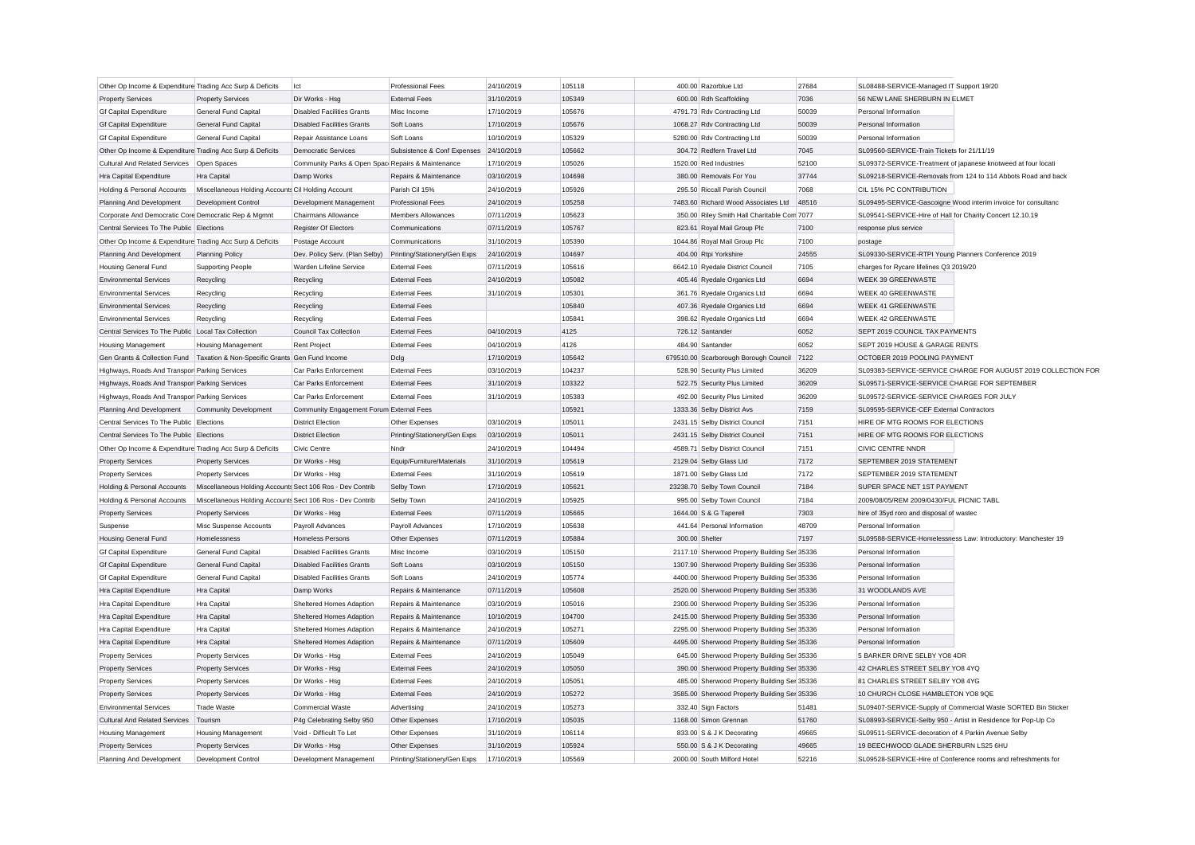| Other Op Income & Expenditure Trading Acc Surp & Deficits |                                                                             | Ict                                               | Professional Fees            | 24/10/2019               | 105118 | 400.00 Razorblue Ltd                         | 27684 | SL08488-SERVICE-Managed IT Support 19/20                  |                                                               |
|-----------------------------------------------------------|-----------------------------------------------------------------------------|---------------------------------------------------|------------------------------|--------------------------|--------|----------------------------------------------|-------|-----------------------------------------------------------|---------------------------------------------------------------|
| <b>Property Services</b>                                  | <b>Property Services</b>                                                    | Dir Works - Hsg                                   | <b>External Fees</b>         | 31/10/2019               | 105349 | 600.00 Rdh Scaffolding                       | 7036  | 56 NEW LANE SHERBURN IN ELMET                             |                                                               |
| <b>Gf Capital Expenditure</b>                             | <b>General Fund Capital</b>                                                 | <b>Disabled Facilities Grants</b>                 | Misc Income                  | 17/10/2019               | 105676 | 4791.73 Rdv Contracting Ltd                  | 50039 | Personal Information                                      |                                                               |
| <b>Gf Capital Expenditure</b>                             | <b>General Fund Capital</b>                                                 | <b>Disabled Facilities Grants</b>                 | Soft Loans                   | 17/10/2019               | 105676 | 1068.27 Rdv Contracting Ltd                  | 50039 | Personal Information                                      |                                                               |
| <b>Gf Capital Expenditure</b>                             | General Fund Capital                                                        | Repair Assistance Loans                           | Soft Loans                   | 10/10/2019               | 105329 | 5280.00 Rdv Contracting Ltd                  | 50039 | Personal Information                                      |                                                               |
| Other Op Income & Expenditure Trading Acc Surp & Deficits |                                                                             | <b>Democratic Services</b>                        | Subsistence & Conf Expenses  | 24/10/2019               | 105662 | 304.72 Redfern Travel Ltd                    | 7045  | SL09560-SERVICE-Train Tickets for 21/11/19                |                                                               |
| <b>Cultural And Related Services</b>                      | Open Spaces                                                                 | Community Parks & Open Spac Repairs & Maintenance |                              | 17/10/2019               | 105026 | 1520.00 Red Industries                       | 52100 |                                                           | SL09372-SERVICE-Treatment of japanese knotweed at four locati |
| Hra Capital Expenditure                                   | Hra Capital                                                                 | Damp Works                                        | Repairs & Maintenance        | 03/10/2019               | 104698 | 380.00 Removals For You                      | 37744 |                                                           | SL09218-SERVICE-Removals from 124 to 114 Abbots Road and back |
| Holding & Personal Accounts                               | Miscellaneous Holding Accounts Cil Holding Account                          |                                                   | Parish Cil 15%               | 24/10/2019               | 105926 | 295.50 Riccall Parish Council                | 7068  | CIL 15% PC CONTRIBUTION                                   |                                                               |
| Planning And Development                                  | Development Control                                                         | Development Management                            | <b>Professional Fees</b>     | 24/10/2019               | 105258 | 7483.60 Richard Wood Associates Ltd          | 48516 |                                                           | SL09495-SERVICE-Gascoigne Wood interim invoice for consultanc |
| Corporate And Democratic Core Democratic Rep & Mgmnt      |                                                                             | <b>Chairmans Allowance</b>                        | <b>Members Allowances</b>    | 07/11/2019               | 105623 | 350.00 Riley Smith Hall Charitable Com 7077  |       | SL09541-SERVICE-Hire of Hall for Charity Concert 12.10.19 |                                                               |
| Central Services To The Public Elections                  |                                                                             | <b>Register Of Electors</b>                       | Communications               | 07/11/2019               | 105767 | 823.61 Royal Mail Group Plc                  | 7100  | response plus service                                     |                                                               |
| Other Op Income & Expenditure Trading Acc Surp & Deficits |                                                                             | Postage Account                                   | Communications               | 31/10/2019               | 105390 | 1044.86 Royal Mail Group Plc                 | 7100  | postage                                                   |                                                               |
| Planning And Development                                  | <b>Planning Policy</b>                                                      | Dev. Policy Serv. (Plan Selby)                    | Printing/Stationery/Gen Exps | 24/10/2019               | 104697 | 404.00 Rtpi Yorkshire                        | 24555 | SL09330-SERVICE-RTPI Young Planners Conference 2019       |                                                               |
| <b>Housing General Fund</b>                               | <b>Supporting People</b>                                                    | Warden Lifeline Service                           | <b>External Fees</b>         | 07/11/2019               | 105616 | 6642.10 Ryedale District Council             | 7105  | charges for Rycare lifelines Q3 2019/20                   |                                                               |
| <b>Environmental Services</b>                             | Recycling                                                                   | Recycling                                         | <b>External Fees</b>         | 24/10/2019               | 105082 | 405.46 Ryedale Organics Ltd                  | 6694  | WEEK 39 GREENWASTE                                        |                                                               |
| <b>Environmental Services</b>                             | Recycling                                                                   | Recycling                                         | <b>External Fees</b>         | 31/10/2019               | 105301 | 361.76 Ryedale Organics Ltd                  | 6694  | <b>WEEK 40 GREENWASTE</b>                                 |                                                               |
| <b>Environmental Services</b>                             | Recycling                                                                   | Recycling                                         | <b>External Fees</b>         |                          | 105840 | 407.36 Ryedale Organics Ltd                  | 6694  | <b>WEEK 41 GREENWASTE</b>                                 |                                                               |
| <b>Environmental Services</b>                             | Recycling                                                                   | Recycling                                         | <b>External Fees</b>         |                          | 105841 | 398.62 Ryedale Organics Ltd                  | 6694  | <b>WEEK 42 GREENWASTE</b>                                 |                                                               |
| Central Services To The Public Local Tax Collection       |                                                                             | Council Tax Collection                            | <b>External Fees</b>         | 04/10/2019               | 4125   | 726.12 Santander                             | 6052  | SEPT 2019 COUNCIL TAX PAYMENTS                            |                                                               |
|                                                           |                                                                             |                                                   |                              |                          | 4126   | 484.90 Santander                             | 6052  | SEPT 2019 HOUSE & GARAGE RENTS                            |                                                               |
| <b>Housing Management</b><br>Gen Grants & Collection Fund | <b>Housing Management</b><br>Taxation & Non-Specific Grants Gen Fund Income | <b>Rent Project</b>                               | <b>External Fees</b>         | 04/10/2019<br>17/10/2019 | 105642 | 679510.00 Scarborough Borough Council        | 7122  | OCTOBER 2019 POOLING PAYMENT                              |                                                               |
|                                                           |                                                                             |                                                   | Dclg                         |                          |        |                                              |       |                                                           |                                                               |
| Highways, Roads And Transpor Parking Services             |                                                                             | Car Parks Enforcement                             | <b>External Fees</b>         | 03/10/2019               | 104237 | 528.90 Security Plus Limited                 | 36209 |                                                           | SL09383-SERVICE-SERVICE CHARGE FOR AUGUST 2019 COLLECTION FOR |
| Highways, Roads And Transpor Parking Services             |                                                                             | Car Parks Enforcement                             | <b>External Fees</b>         | 31/10/2019               | 103322 | 522.75 Security Plus Limited                 | 36209 | SL09571-SERVICE-SERVICE CHARGE FOR SEPTEMBER              |                                                               |
| Highways, Roads And Transpor Parking Services             |                                                                             | Car Parks Enforcement                             | <b>External Fees</b>         | 31/10/2019               | 105383 | 492.00 Security Plus Limited                 | 36209 | SL09572-SERVICE-SERVICE CHARGES FOR JULY                  |                                                               |
| Planning And Development                                  | Community Development                                                       | Community Engagement Forum External Fees          |                              |                          | 105921 | 1333.36 Selby District Avs                   | 7159  | SL09595-SERVICE-CEF External Contractors                  |                                                               |
| Central Services To The Public Elections                  |                                                                             | <b>District Election</b>                          | Other Expenses               | 03/10/2019               | 105011 | 2431.15 Selby District Council               | 7151  | HIRE OF MTG ROOMS FOR ELECTIONS                           |                                                               |
| Central Services To The Public Elections                  |                                                                             | <b>District Election</b>                          | Printing/Stationery/Gen Exps | 03/10/2019               | 105011 | 2431.15 Selby District Council               | 7151  | HIRE OF MTG ROOMS FOR ELECTIONS                           |                                                               |
| Other Op Income & Expenditure Trading Acc Surp & Deficits |                                                                             | Civic Centre                                      | Nndr                         | 24/10/2019               | 104494 | 4589.71 Selby District Council               | 7151  | CIVIC CENTRE NNDR                                         |                                                               |
| <b>Property Services</b>                                  | <b>Property Services</b>                                                    | Dir Works - Hsg                                   | Equip/Furniture/Materials    | 31/10/2019               | 105619 | 2129.04 Selby Glass Ltd                      | 7172  | SEPTEMBER 2019 STATEMENT                                  |                                                               |
| <b>Property Services</b>                                  | <b>Property Services</b>                                                    | Dir Works - Hsg                                   | <b>External Fees</b>         | 31/10/2019               | 105619 | 1871.00 Selby Glass Ltd                      | 7172  | SEPTEMBER 2019 STATEMENT                                  |                                                               |
| Holding & Personal Accounts                               | Miscellaneous Holding Accounts Sect 106 Ros - Dev Contrib                   |                                                   | Selby Town                   | 17/10/2019               | 105621 | 23238.70 Selby Town Council                  | 7184  | SUPER SPACE NET 1ST PAYMENT                               |                                                               |
| Holding & Personal Accounts                               | Miscellaneous Holding Accounts Sect 106 Ros - Dev Contrib                   |                                                   | Selby Town                   | 24/10/2019               | 105925 | 995.00 Selby Town Council                    | 7184  | 2009/08/05/REM 2009/0430/FUL PICNIC TABL                  |                                                               |
| <b>Property Services</b>                                  | <b>Property Services</b>                                                    | Dir Works - Hsg                                   | <b>External Fees</b>         | 07/11/2019               | 105665 | 1644.00 S & G Taperell                       | 7303  | hire of 35yd roro and disposal of wastec                  |                                                               |
| Suspense                                                  | Misc Suspense Accounts                                                      | Payroll Advances                                  | Payroll Advances             | 17/10/2019               | 105638 | 441.64 Personal Information                  | 48709 | Personal Information                                      |                                                               |
| <b>Housing General Fund</b>                               | Homelessness                                                                | <b>Homeless Persons</b>                           | Other Expenses               | 07/11/2019               | 105884 | 300.00 Shelter                               | 7197  |                                                           | SL09588-SERVICE-Homelessness Law: Introductory: Manchester 19 |
| <b>Gf Capital Expenditure</b>                             | General Fund Capital                                                        | <b>Disabled Facilities Grants</b>                 | Misc Income                  | 03/10/2019               | 105150 | 2117.10 Sherwood Property Building Ser 35336 |       | Personal Information                                      |                                                               |
| <b>Gf Capital Expenditure</b>                             | General Fund Capital                                                        | <b>Disabled Facilities Grants</b>                 | Soft Loans                   | 03/10/2019               | 105150 | 1307.90 Sherwood Property Building Ser 35336 |       | Personal Information                                      |                                                               |
| <b>Gf Capital Expenditure</b>                             | <b>General Fund Capital</b>                                                 | <b>Disabled Facilities Grants</b>                 | Soft Loans                   | 24/10/2019               | 105774 | 4400.00 Sherwood Property Building Ser 35336 |       | Personal Information                                      |                                                               |
| Hra Capital Expenditure                                   | Hra Capital                                                                 | Damp Works                                        | Repairs & Maintenance        | 07/11/2019               | 105608 | 2520.00 Sherwood Property Building Ser 35336 |       | 31 WOODLANDS AVE                                          |                                                               |
| Hra Capital Expenditure                                   | Hra Capital                                                                 | Sheltered Homes Adaption                          | Repairs & Maintenance        | 03/10/2019               | 105016 | 2300.00 Sherwood Property Building Ser 35336 |       | Personal Information                                      |                                                               |
| Hra Capital Expenditure                                   | Hra Capital                                                                 | Sheltered Homes Adaption                          | Repairs & Maintenance        | 10/10/2019               | 104700 | 2415.00 Sherwood Property Building Ser 35336 |       | Personal Information                                      |                                                               |
| Hra Capital Expenditure                                   | Hra Capital                                                                 | Sheltered Homes Adaption                          | Repairs & Maintenance        | 24/10/2019               | 105271 | 2295.00 Sherwood Property Building Ser 35336 |       | Personal Information                                      |                                                               |
| Hra Capital Expenditure                                   | Hra Capital                                                                 | Sheltered Homes Adaption                          | Repairs & Maintenance        | 07/11/2019               | 105609 | 4495.00 Sherwood Property Building Ser 35336 |       | Personal Information                                      |                                                               |
| <b>Property Services</b>                                  | <b>Property Services</b>                                                    | Dir Works - Hsg                                   | <b>External Fees</b>         | 24/10/2019               | 105049 | 645.00 Sherwood Property Building Ser 35336  |       | 5 BARKER DRIVE SELBY YO8 4DR                              |                                                               |
| <b>Property Services</b>                                  | <b>Property Services</b>                                                    | Dir Works - Hsg                                   | <b>External Fees</b>         | 24/10/2019               | 105050 | 390.00 Sherwood Property Building Ser 35336  |       | 42 CHARLES STREET SELBY YO8 4YQ                           |                                                               |
| <b>Property Services</b>                                  | <b>Property Services</b>                                                    | Dir Works - Hsg                                   | <b>External Fees</b>         | 24/10/2019               | 105051 | 485.00 Sherwood Property Building Ser 35336  |       | 81 CHARLES STREET SELBY YO8 4YG                           |                                                               |
|                                                           |                                                                             |                                                   |                              |                          | 105272 |                                              |       |                                                           |                                                               |
| <b>Property Services</b>                                  | <b>Property Services</b>                                                    | Dir Works - Hsg                                   | <b>External Fees</b>         | 24/10/2019               |        | 3585.00 Sherwood Property Building Ser 35336 |       | 10 CHURCH CLOSE HAMBLETON YO8 9QE                         |                                                               |
| <b>Environmental Services</b>                             | <b>Trade Waste</b>                                                          | <b>Commercial Waste</b>                           | Advertising                  | 24/10/2019               | 105273 | 332.40 Sign Factors                          | 51481 |                                                           | SL09407-SERVICE-Supply of Commercial Waste SORTED Bin Sticker |
| <b>Cultural And Related Services</b>                      | Tourism                                                                     | P4g Celebrating Selby 950                         | Other Expenses               | 17/10/2019               | 105035 | 1168.00 Simon Grennan                        | 51760 |                                                           | SL08993-SERVICE-Selby 950 - Artist in Residence for Pop-Up Co |
| <b>Housing Management</b>                                 | Housing Management                                                          | Void - Difficult To Let                           | Other Expenses               | 31/10/2019               | 106114 | 833.00 S & J K Decorating                    | 49665 | SL09511-SERVICE-decoration of 4 Parkin Avenue Selby       |                                                               |
| <b>Property Services</b>                                  | <b>Property Services</b>                                                    | Dir Works - Hsg                                   | Other Expenses               | 31/10/2019               | 105924 | 550.00 S & J K Decorating                    | 49665 | 19 BEECHWOOD GLADE SHERBURN LS25 6HU                      |                                                               |
| Planning And Development                                  | Development Control                                                         | Development Management                            | Printing/Stationery/Gen Exps | 17/10/2019               | 105569 | 2000.00 South Milford Hotel                  | 52216 |                                                           | SL09528-SERVICE-Hire of Conference rooms and refreshments for |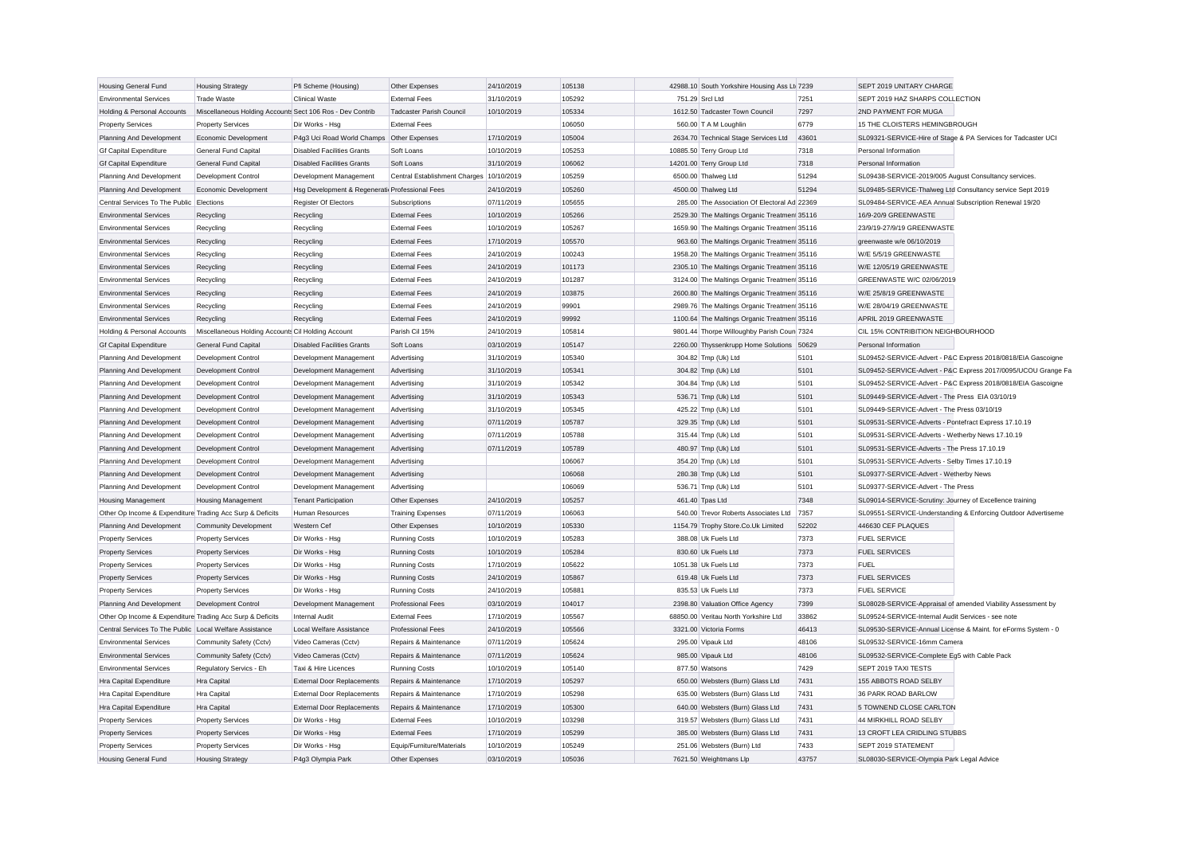| <b>Housing General Fund</b>                               | <b>Housing Strategy</b>                                   | Pfi Scheme (Housing)                           | Other Expenses                           | 24/10/2019               | 105138 |                 | 42988.10 South Yorkshire Housing Ass Lt 7239 |              | SEPT 2019 UNITARY CHARGE                                                                                  |                                                               |
|-----------------------------------------------------------|-----------------------------------------------------------|------------------------------------------------|------------------------------------------|--------------------------|--------|-----------------|----------------------------------------------|--------------|-----------------------------------------------------------------------------------------------------------|---------------------------------------------------------------|
| <b>Environmental Services</b>                             | <b>Trade Waste</b>                                        | <b>Clinical Waste</b>                          | <b>External Fees</b>                     | 31/10/2019               | 105292 | 751.29 Srcl Ltd |                                              | 7251         | SEPT 2019 HAZ SHARPS COLLECTION                                                                           |                                                               |
| Holding & Personal Accounts                               | Miscellaneous Holding Accounts Sect 106 Ros - Dev Contrib |                                                | <b>Tadcaster Parish Council</b>          | 10/10/2019               | 105334 |                 | 1612.50 Tadcaster Town Council               | 7297         | 2ND PAYMENT FOR MUGA                                                                                      |                                                               |
| <b>Property Services</b>                                  | <b>Property Services</b>                                  | Dir Works - Hsg                                | <b>External Fees</b>                     |                          | 106050 |                 | 560.00 T A M Loughlin                        | 6779         | 15 THE CLOISTERS HEMINGBROUGH                                                                             |                                                               |
|                                                           |                                                           |                                                |                                          |                          | 105004 |                 |                                              |              |                                                                                                           |                                                               |
| Planning And Development                                  | Economic Development                                      | P4g3 Uci Road World Champs Other Expenses      |                                          | 17/10/2019               |        |                 | 2634.70 Technical Stage Services Ltd         | 43601        |                                                                                                           | SL09321-SERVICE-Hire of Stage & PA Services for Tadcaster UCI |
| <b>Gf Capital Expenditure</b>                             | General Fund Capital                                      | <b>Disabled Facilities Grants</b>              | Soft Loans                               | 10/10/2019               | 105253 |                 | 10885.50 Terry Group Ltd                     | 7318         | Personal Information                                                                                      |                                                               |
| <b>Gf Capital Expenditure</b>                             | General Fund Capital                                      | <b>Disabled Facilities Grants</b>              | Soft Loans                               | 31/10/2019               | 106062 |                 | 14201.00 Terry Group Ltd                     | 7318         | Personal Information                                                                                      |                                                               |
| Planning And Development                                  | <b>Development Control</b>                                | Development Management                         | Central Establishment Charges 10/10/2019 |                          | 105259 |                 | 6500.00 Thalweg Ltd                          | 51294        | SL09438-SERVICE-2019/005 August Consultancy services.                                                     |                                                               |
| Planning And Development                                  | Economic Development                                      | Hsg Development & Regenerati Professional Fees |                                          | 24/10/2019               | 105260 |                 | 4500.00 Thalweg Ltd                          | 51294        | SL09485-SERVICE-Thalweg Ltd Consultancy service Sept 2019                                                 |                                                               |
| Central Services To The Public Elections                  |                                                           | Register Of Electors                           | Subscriptions                            | 07/11/2019               | 105655 |                 | 285.00 The Association Of Electoral Ad 22369 |              | SL09484-SERVICE-AEA Annual Subscription Renewal 19/20                                                     |                                                               |
| <b>Environmental Services</b>                             | Recycling                                                 | Recycling                                      | <b>External Fees</b>                     | 10/10/2019               | 105266 |                 | 2529.30 The Maltings Organic Treatmen 35116  |              | 16/9-20/9 GREENWASTE                                                                                      |                                                               |
| <b>Environmental Services</b>                             | Recycling                                                 | Recycling                                      | <b>External Fees</b>                     | 10/10/2019               | 105267 |                 | 1659.90 The Maltings Organic Treatmen 35116  |              | 23/9/19-27/9/19 GREENWASTE                                                                                |                                                               |
| <b>Environmental Services</b>                             | Recycling                                                 | Recycling                                      | <b>External Fees</b>                     | 17/10/2019               | 105570 |                 | 963.60 The Maltings Organic Treatmen 35116   |              | greenwaste w/e 06/10/2019                                                                                 |                                                               |
| <b>Environmental Services</b>                             | Recycling                                                 | Recycling                                      | <b>External Fees</b>                     | 24/10/2019               | 100243 |                 | 1958.20 The Maltings Organic Treatmen 35116  |              | W/E 5/5/19 GREENWASTE                                                                                     |                                                               |
| <b>Environmental Services</b>                             | Recycling                                                 | Recycling                                      | <b>External Fees</b>                     | 24/10/2019               | 101173 |                 | 2305.10 The Maltings Organic Treatmen 35116  |              | W/E 12/05/19 GREENWASTE                                                                                   |                                                               |
| <b>Environmental Services</b>                             | Recycling                                                 | Recycling                                      | <b>External Fees</b>                     | 24/10/2019               | 101287 |                 | 3124.00 The Maltings Organic Treatmen 35116  |              | GREENWASTE W/C 02/06/2019                                                                                 |                                                               |
| <b>Environmental Services</b>                             | Recycling                                                 | Recycling                                      | <b>External Fees</b>                     | 24/10/2019               | 103875 |                 | 2600.80 The Maltings Organic Treatmen 35116  |              | W/E 25/8/19 GREENWASTE                                                                                    |                                                               |
| <b>Environmental Services</b>                             | Recycling                                                 | Recycling                                      | <b>External Fees</b>                     | 24/10/2019               | 99901  |                 | 2989.76 The Maltings Organic Treatmen 35116  |              | W/E 28/04/19 GREENWASTE                                                                                   |                                                               |
| <b>Environmental Services</b>                             | Recycling                                                 | Recycling                                      | <b>External Fees</b>                     | 24/10/2019               | 99992  |                 | 1100.64 The Maltings Organic Treatmen 35116  |              | APRIL 2019 GREENWASTE                                                                                     |                                                               |
| Holding & Personal Accounts                               | Miscellaneous Holding Accounts Cil Holding Account        |                                                | Parish Cil 15%                           | 24/10/2019               | 105814 |                 | 9801.44 Thorpe Willoughby Parish Coun 7324   |              | CIL 15% CONTRIBITION NEIGHBOURHOOD                                                                        |                                                               |
| <b>Gf Capital Expenditure</b>                             | <b>General Fund Capital</b>                               | <b>Disabled Facilities Grants</b>              | Soft Loans                               | 03/10/2019               | 105147 |                 | 2260.00 Thyssenkrupp Home Solutions 50629    |              | Personal Information                                                                                      |                                                               |
| Planning And Development                                  | <b>Development Control</b>                                | Development Management                         | Advertising                              | 31/10/2019               | 105340 |                 | 304.82 Tmp (Uk) Ltd                          | 5101         |                                                                                                           | SL09452-SERVICE-Advert - P&C Express 2018/0818/EIA Gascoigne  |
| Planning And Development                                  | Development Control                                       | Development Management                         | Advertising                              | 31/10/2019               | 105341 |                 | 304.82 Tmp (Uk) Ltd                          | 5101         |                                                                                                           | SL09452-SERVICE-Advert - P&C Express 2017/0095/UCOU Grange Fa |
| Planning And Development                                  | <b>Development Control</b>                                | Development Management                         | Advertising                              | 31/10/2019               | 105342 |                 | 304.84 Tmp (Uk) Ltd                          | 5101         |                                                                                                           | SL09452-SERVICE-Advert - P&C Express 2018/0818/EIA Gascoigne  |
| Planning And Development                                  | Development Control                                       | Development Management                         | Advertising                              | 31/10/2019               | 105343 |                 | 536.71 Tmp (Uk) Ltd                          | 5101         | SL09449-SERVICE-Advert - The Press EIA 03/10/19                                                           |                                                               |
| Planning And Development                                  | Development Control                                       | Development Management                         | Advertising                              | 31/10/2019               | 105345 |                 | 425.22 Tmp (Uk) Ltd                          | 5101         | SL09449-SERVICE-Advert - The Press 03/10/19                                                               |                                                               |
|                                                           |                                                           |                                                |                                          |                          | 105787 |                 |                                              |              |                                                                                                           |                                                               |
| Planning And Development<br>Planning And Development      | Development Control<br>Development Control                | Development Management                         | Advertising                              | 07/11/2019<br>07/11/2019 | 105788 |                 | 329.35 Tmp (Uk) Ltd<br>315.44 Tmp (Uk) Ltd   | 5101<br>5101 | SL09531-SERVICE-Adverts - Pontefract Express 17.10.19<br>SL09531-SERVICE-Adverts - Wetherby News 17,10,19 |                                                               |
|                                                           |                                                           | Development Management                         | Advertising                              |                          |        |                 |                                              |              |                                                                                                           |                                                               |
| Planning And Development                                  | Development Control                                       | Development Management                         | Advertising                              | 07/11/2019               | 105789 |                 | 480.97 Tmp (Uk) Ltd                          | 5101         | SL09531-SERVICE-Adverts - The Press 17.10.19                                                              |                                                               |
| Planning And Development                                  | <b>Development Control</b>                                | Development Management                         | Advertising                              |                          | 106067 |                 | 354.20 Tmp (Uk) Ltd                          | 5101         | SL09531-SERVICE-Adverts - Selby Times 17.10.19                                                            |                                                               |
| Planning And Development                                  | Development Control                                       | Development Management                         | Advertising                              |                          | 106068 |                 | 280.38 Tmp (Uk) Ltd                          | 5101         | SL09377-SERVICE-Advert - Wetherby News                                                                    |                                                               |
| Planning And Development                                  | Development Control                                       | Development Management                         | Advertising                              |                          | 106069 |                 | 536.71 Tmp (Uk) Ltd                          | 5101         | SL09377-SERVICE-Advert - The Press                                                                        |                                                               |
| <b>Housing Management</b>                                 | <b>Housing Management</b>                                 | <b>Tenant Participation</b>                    | Other Expenses                           | 24/10/2019               | 105257 |                 | 461.40 Tpas Ltd                              | 7348         | SL09014-SERVICE-Scrutiny: Journey of Excellence training                                                  |                                                               |
| Other Op Income & Expenditure Trading Acc Surp & Deficits |                                                           | Human Resources                                | <b>Training Expenses</b>                 | 07/11/2019               | 106063 |                 | 540.00 Trevor Roberts Associates Ltd         | 7357         |                                                                                                           | SL09551-SERVICE-Understanding & Enforcing Outdoor Advertiseme |
| Planning And Development                                  | <b>Community Development</b>                              | Western Cet                                    | Other Expenses                           | 10/10/2019               | 105330 |                 | 1154.79 Trophy Store.Co.Uk Limited           | 52202        | 446630 CEF PLAQUES                                                                                        |                                                               |
| <b>Property Services</b>                                  | <b>Property Services</b>                                  | Dir Works - Hsg                                | <b>Running Costs</b>                     | 10/10/2019               | 105283 |                 | 388.08 Uk Fuels Ltd                          | 7373         | <b>FUEL SERVICE</b>                                                                                       |                                                               |
| <b>Property Services</b>                                  | <b>Property Services</b>                                  | Dir Works - Hsg                                | <b>Running Costs</b>                     | 10/10/2019               | 105284 |                 | 830.60 Uk Fuels Ltd                          | 7373         | <b>FUEL SERVICES</b>                                                                                      |                                                               |
| <b>Property Services</b>                                  | <b>Property Services</b>                                  | Dir Works - Hsg                                | <b>Running Costs</b>                     | 17/10/2019               | 105622 |                 | 1051.38 Uk Fuels Ltd                         | 7373         | <b>FUEL</b>                                                                                               |                                                               |
| <b>Property Services</b>                                  | <b>Property Services</b>                                  | Dir Works - Hsg                                | <b>Running Costs</b>                     | 24/10/2019               | 105867 |                 | 619.48 Uk Fuels Ltd                          | 7373         | <b>FUEL SERVICES</b>                                                                                      |                                                               |
| <b>Property Services</b>                                  | <b>Property Services</b>                                  | Dir Works - Hsg                                | <b>Running Costs</b>                     | 24/10/2019               | 105881 |                 | 835.53 Uk Fuels Ltd                          | 7373         | <b>FUEL SERVICE</b>                                                                                       |                                                               |
| Planning And Development                                  | <b>Development Control</b>                                | Development Management                         | <b>Professional Fees</b>                 | 03/10/2019               | 104017 |                 | 2398.80 Valuation Office Agency              | 7399         |                                                                                                           | SL08028-SERVICE-Appraisal of amended Viability Assessment by  |
| Other Op Income & Expenditure Trading Acc Surp & Deficits |                                                           | Internal Audit                                 | <b>External Fees</b>                     | 17/10/2019               | 105567 |                 | 68850.00 Veritau North Yorkshire Ltd         | 33862        | SL09524-SERVICE-Internal Audit Services - see note                                                        |                                                               |
| Central Services To The Public Local Welfare Assistance   |                                                           | Local Welfare Assistance                       | <b>Professional Fees</b>                 | 24/10/2019               | 105566 |                 | 3321.00 Victoria Forms                       | 46413        |                                                                                                           | SL09530-SERVICE-Annual License & Maint. for eForms System - 0 |
| <b>Environmental Services</b>                             | Community Safety (Cctv)                                   | Video Cameras (Cctv)                           | Repairs & Maintenance                    | 07/11/2019               | 105624 |                 | 295.00 Vipauk Ltd                            | 48106        | SL09532-SERVICE-16mm Camera                                                                               |                                                               |
| <b>Environmental Services</b>                             | Community Safety (Cctv)                                   | Video Cameras (Cctv)                           | Repairs & Maintenance                    | 07/11/2019               | 105624 |                 | 985.00 Vipauk Ltd                            | 48106        | SL09532-SERVICE-Complete Eg5 with Cable Pack                                                              |                                                               |
| <b>Environmental Services</b>                             | Regulatory Servics - Eh                                   | Taxi & Hire Licences                           | <b>Running Costs</b>                     | 10/10/2019               | 105140 |                 | 877.50 Watsons                               | 7429         | SEPT 2019 TAXI TESTS                                                                                      |                                                               |
| Hra Capital Expenditure                                   | Hra Capital                                               | <b>External Door Replacements</b>              | Repairs & Maintenance                    | 17/10/2019               | 105297 |                 | 650.00 Websters (Burn) Glass Ltd             | 7431         | 155 ABBOTS ROAD SELBY                                                                                     |                                                               |
| Hra Capital Expenditure                                   | Hra Capital                                               | <b>External Door Replacements</b>              | Repairs & Maintenance                    | 17/10/2019               | 105298 |                 | 635.00 Websters (Burn) Glass Ltd             | 7431         | 36 PARK ROAD BARLOW                                                                                       |                                                               |
| Hra Capital Expenditure                                   | Hra Capital                                               | <b>External Door Replacements</b>              | Repairs & Maintenance                    | 17/10/2019               | 105300 |                 | 640.00 Websters (Burn) Glass Ltd             | 7431         | 5 TOWNEND CLOSE CARLTON                                                                                   |                                                               |
| <b>Property Services</b>                                  | <b>Property Services</b>                                  | Dir Works - Hsg                                | <b>External Fees</b>                     | 10/10/2019               | 103298 |                 | 319.57 Websters (Burn) Glass Ltd             | 7431         | 44 MIRKHILL ROAD SELBY                                                                                    |                                                               |
|                                                           |                                                           | Dir Works - Hsg                                | <b>External Fees</b>                     | 17/10/2019               | 105299 |                 | 385.00 Websters (Burn) Glass Ltd             | 7431         | 13 CROFT LEA CRIDLING STUBBS                                                                              |                                                               |
| <b>Property Services</b>                                  | <b>Property Services</b>                                  |                                                |                                          | 10/10/2019               | 105249 |                 |                                              | 7433         |                                                                                                           |                                                               |
| <b>Property Services</b>                                  | <b>Property Services</b>                                  | Dir Works - Hsg                                | Equip/Furniture/Materials                | 03/10/2019               | 105036 |                 | 251.06 Websters (Burn) Ltd                   | 43757        | SEPT 2019 STATEMENT                                                                                       |                                                               |
| <b>Housing General Fund</b>                               | <b>Housing Strategy</b>                                   | P4g3 Olympia Park                              | Other Expenses                           |                          |        |                 | 7621.50 Weightmans Llp                       |              | SL08030-SERVICE-Olympia Park Legal Advice                                                                 |                                                               |